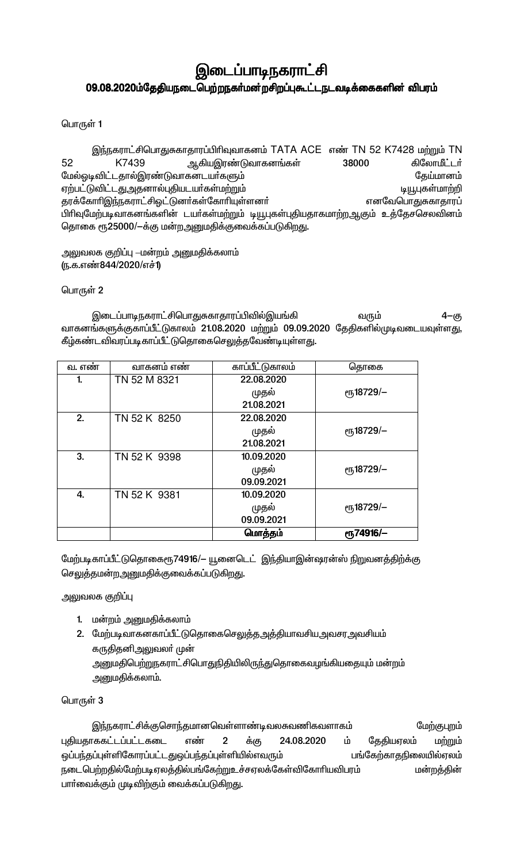# இடைப்பாடிநகராட்சி 09.08.2020ம்தேதியநடைபெற்றநகர்மன்றசிறப்புகூட்டநடவடிக்கைகளின் விபரம்

பொருள் 1

இந்நகராட்சிபொதுசுகாதாரப்பிரிவுவாகனம் TATA ACE எண் TN 52 K7428 மற்றும் TN ஆகியஇரண்டுவாகனங்கள் கிலோமீட்டர் 52 K7439 38000 மேல்ஓடிவிட்டதால்இரண்டுவாகனடயர்களும் கேய்மானம் ஏற்பட்டுவிட்டதுஅதனால்புதியடயா்கள்மற்றும் டியூபுகள்மாற்றி தரக்கோரிஇந்நகராட்சிஓட்டுனர்கள்கோரியுள்ளனர் எனவேபொதுசுகாதாரப் பிரிவுமேற்படிவாகனங்களின் டயா்கள்மற்றும் டியூபுகள்புதியதாகமாற்றஆகும் உத்தேசசெலவினம் தொகை ரூ25000/-க்கு மன்றஅனுமதிக்குவைக்கப்படுகிறது.

அலுவலக குறிப்பு —மன்றம் அனுமதிக்கலாம் (ந.க.எண்844/2020/எச்1)

பொருள் 2

இடைப்பாடிநகராட்சிபொதுசுகாதாரப்பிவில்இயங்கி  $4 - (5)$ வரும் வாகனங்களுக்குகாப்பீட்டுகாலம் 21.08.2020 மற்றும் 09.09.2020 தேதிகளில்முடிவடையவுள்ளது, கீழ்கண்டவிவரப்படிகாப்பீட்டுதொகைசெலுத்தவேண்டியுள்ளது.

| வ. எண | வாகனம் எண்   | காப்பீட்டுகாலம் | கொகை                    |
|-------|--------------|-----------------|-------------------------|
| 1.    | TN 52 M 8321 | 22.08.2020      |                         |
|       |              | முதல்           | ет <sub>5</sub> 18729/- |
|       |              | 21.08.2021      |                         |
| 2.    | TN 52 K 8250 | 22.08.2020      |                         |
|       |              | முதல்           | еҧ18729/-               |
|       |              | 21.08.2021      |                         |
| 3.    | TN 52 K 9398 | 10.09.2020      |                         |
|       |              | முதல்           | еҧ18729/-               |
|       |              | 09.09.2021      |                         |
| 4.    | TN 52 K 9381 | 10.09.2020      |                         |
|       |              | முதல்           | ரூ18729/-               |
|       |              | 09.09.2021      |                         |
|       |              | மொத்தம்         | <b>е</b> ҧ74916/-       |

மேற்படிகாப்பீட்டுதொகைரூ74916/— யூனைடெட் இந்தியாஇன்ஷரன்ஸ் நிறுவனத்திற்க்கு செலுத்தமன்றஅனுமதிக்குவைக்கப்படுகிறது.

அலுவலக குறிப்பு

- 1. மன்றம் அனுமதிக்கலாம்
- 2. மேற்படிவாகனகாப்பீட்டுதொகைசெலுத்தஅத்தியாவசியஅவசரஅவசியம் கருதிதனிஅலுவலா் முன் அனுமதிபெற்றுநகராட்சிபொதுநிதியிலிருந்துதொகைவழங்கியதையும் மன்றம் <u>அனுமதிக்கலாம்.</u>

பொருள் 3

இந்நகராட்சிக்குசொந்தமானவெள்ளாண்டிவலசுவணிகவளாகம் மேற்குபுறம் புதியதாககட்டப்பட்டகடை எண்  $\mathbf{2}$ 24.08.2020 ம் தேதியஏலம் மற்றும் க்கு ஒப்பந்தப்புள்ளிகோரப்பட்டதுஒப்பந்தப்புள்ளியில்எவரும் பங்கேற்காதநிலையில்ஏலம் நடைபெற்றதில்மேற்படிஏலத்தில்பங்கேற்றுஉச்சஏலக்கேள்விகோரியவிபரம் மன்றத்தின் பாா்வைக்கும் முடிவிற்கும் வைக்கப்படுகிறது.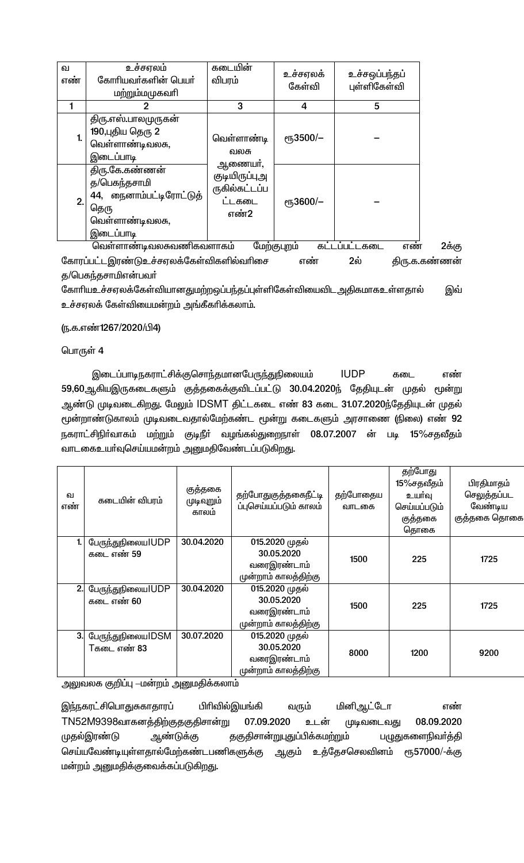| ഖ<br>எண் | உச்சஏலம்<br>கோரியவா்களின் பெயா்<br>மற்றும்மமுகவரி                                                 | கடையின்<br>விபரம்                                | உச்சஏலக்<br>கேள்வி | உச்சஒப்பந்தப்<br>புள்ளிகேள்வி |
|----------|---------------------------------------------------------------------------------------------------|--------------------------------------------------|--------------------|-------------------------------|
|          |                                                                                                   | 3                                                | 4                  | 5                             |
| 1.       | திரு.எஸ்.பாலமுருகன்<br>190,புதிய தெரு 2<br>வெள்ளாண்டிவலசு,<br>இடைப்பாடி                           | வெள்ளாண்டி<br>வலசு<br>ஆணையா்,                    | еҧ3500/-           |                               |
| 2.       | திரு.கே.கண்ணன்<br>த/பெகந்தசாமி<br>44, நைனாம்பட்டிரோட்டுத்<br>தெரு<br>வெள்ளாண்டிவலசு,<br>இடைப்பாடி | குடியிருப்புஅ<br>ருகில்கட்டப்ப<br>ட்டகடை<br>எண்2 | еҧ3600/-           |                               |

2க்கு ளாண்டிவலசுவண்கவளாகம் கோரப்பட்டஇரண்டுஉச்சஏலக்கேள்விகளில்வரிசை  $2$ ຄົນ திரு.க.கண்ணன் எண் த/பெகந்தசாமிஎன்பவர்

கோரியஉச்சஏலக்கேள்வியானதுமற்றஒப்பந்தப்புள்ளிகேள்வியைவிட அதிகமாகஉள்ளதால் இவ் உச்சஏலக் கேள்வியைமன்றம் அங்கீகரிக்கலாம்.

### (ந.க.எண்1267/2020/பி4)

### பொருள் 4

இடைப்பாடிநகராட்சிக்குசொந்தமானபேருந்துநிலையம் **IUDP** கடை எண் 59,60ஆகியஇருகடைகளும் குத்தகைக்குவிடப்பட்டு 30.04.2020ந் தேதியுடன் முதல் மூன்று ஆண்டு முடிவடைகிறது. மேலும் IDSMT திட்டகடை எண் 83 கடை 31.07.2020ந்தேதியுடன் முதல் மூன்றாண்டுகாலம் முடிவடைவதால்மேற்கண்ட மூன்று கடைகளும் அரசாணை (நிலை) எண் 92 நகராட்சிநிா்வாகம் மற்றும் குடிநீா் வழங்கல்துறைநாள் 08.07.2007 ன் படி 15%சதவீதம் வாடகைஉயா்வுசெய்யமன்றம் அனுமதிவேண்டப்படுகிறது.

| வ<br>எண் | கடையின் விபரம்                            | குத்தகை<br>முடிவுறும்<br>காலம் | தற்போதுகுத்தகைநீட்டி<br>ப்புசெய்யப்படும் காலம்                      | தற்போதைய<br>வாடகை | தற்போது<br>15%சதவீதம்<br>உயர்வு<br>செய்யப்படும்<br>குத்தகை<br>தொகை | பிரதிமாதம்<br>செலுத்தப்பட<br>வேண்டிய<br>குத்தகை தொகை |
|----------|-------------------------------------------|--------------------------------|---------------------------------------------------------------------|-------------------|--------------------------------------------------------------------|------------------------------------------------------|
|          | பேருந்துநிலைய IUDP<br>கடை எண் 59          | 30.04.2020                     | 015.2020 முதல்<br>30.05.2020<br>வரைஇரண்டாம்<br>முன்றாம் காலத்திற்கு | 1500              | 225                                                                | 1725                                                 |
| 2.       | பேருந்துநிலைய IUDP<br>கடை எண் 60          | 30.04.2020                     | 015.2020 முதல்<br>30.05.2020<br>வரைஇரண்டாம்<br>முன்றாம் காலத்திற்கு | 1500              | 225                                                                | 1725                                                 |
| 3.       | பேருந்துநிலைய $\text{DSM}$<br>⊤கடை எண் 83 | 30.07.2020                     | 015.2020 முதல்<br>30.05.2020<br>வரைஇரண்டாம்<br>முன்றாம் காலத்திற்கு | 8000              | 1200                                                               | 9200                                                 |

அலுவலக குறிப்பு —மன்றம் அனுமதிக்கலாம்

இந்நகரட்சிபொதுசுகாதாரப் பிரிவில்இயங்கி மினிஆட்டோ வரும் எண் TN52M9398வாகனத்திற்குதகுதிசான்று முடிவடைவது 07.09.2020 உடன் 08.09.2020 தகுதிசான்றுபுதுப்பிக்கமற்றும் ஆண்டுக்கு முதல்இரண்டு பழுதுகளைநிவா்த்தி செய்யவேண்டியுள்ளதால்மேற்கண்டபணிகளுக்கு ஆகும் உத்தேசசெலவினம் ரூ57000/-க்கு மன்றம் அனுமதிக்குவைக்கப்படுகிறது.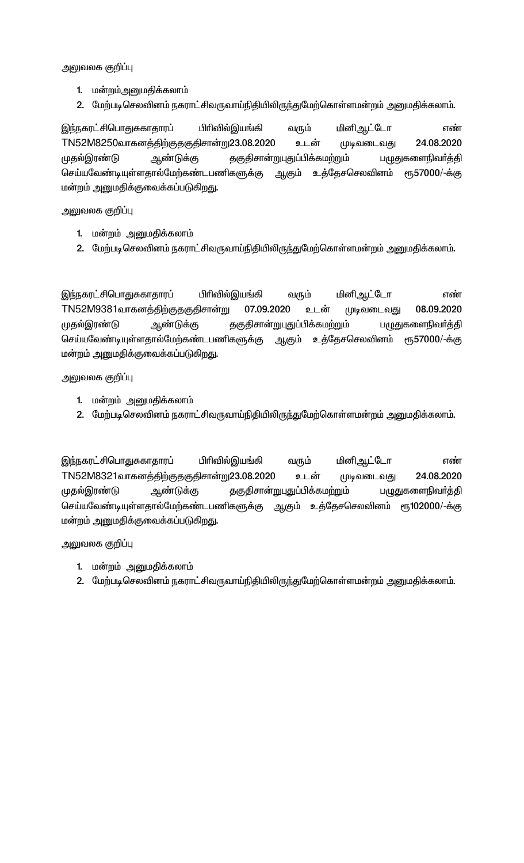அலுவலக குறி**ப்**பு

- 1. மன்றம்அனுமதிக்கலாம்
- 2. மேற்படிசெலவினம் நகராட்சிவருவாய்நிதியிலிருந்துமேற்கொள்ளமன்றம் அனுமதிக்கலாம்.

இந்நகரட்சிபொதுசுகாதாரப் பிரிவில்இயங்கி வரும் மினிஆட்டோ எண் TN52M8250வாகனத்திற்குதகுதிசான்று23.08.2020 உடன் முடிவடைவது 24.08.2020 முதல்இரண்டு ஆண்டுக்கு தகுதிசான்றுபுதுப்பிக்கமற்றும் பழுதுகளைநிவர்த்தி செய்யவேண்டியுள்ளதால்மேற்கண்டபணிகளுக்கு ஆகும் உத்தேசசெலவினம் ரூ57000/-க்கு மன்றம் அனுமதிக்குவைக்கப்படுகிறது.

அலுவலக குறி**ப்**பு

- 1. மன்றம் அனுமதிக்கலாம்
- 2. மேற்படிசெலவினம் நகராட்சிவருவாய்நிதியிலிருந்துமேற்கொள்ளமன்றம் அனுமதிக்கலாம்.

இந்நகரட்சிபொதுசுகாதாரப் பிரிவில்இயங்கி வரும் மினிஆட்டோ எண் TN52M9381வாகனத்திற்குதகுதிசான்று 07.09.2020 உடன் முடிவடைவது 08.09.2020 KjšÏu©L M©L¡F jFÂrh‹WòJ¥Ã¡fk‰W« gGJfisãt®¤Â செய்யவேண்டியுள்ளதால்மேற்கண்டபணிகளுக்கு ஆகும் உத்தேசசெலவினம் ரூ57000/-க்கு மன்றம் அனுமதிக்குவைக்கப்படுகிறது.

அலுவலக குறிப்பு

- 1. மன்றம் அனுமதிக்கலாம்
- 2. மேற்படிசெலவினம் நகராட்சிவருவாய்நிதியிலிருந்துமேற்கொள்ளமன்றம் அனுமதிக்கலாம்.

இந்நகரட்சிபொதுசுகாதாரப் பிரிவில்இயங்கி வரும் மினிஆட்டோ எண் TN52M8321வாகனத்திற்குதகுதிசான்று23.08.2020 உடன் முடிவடைவது 24.08.2020 முதல்இரண்டு ஆண்டுக்கு தகுதிசான்றுபுதுப்பிக்கமற்றும் பழுதுகளைநிவர்த்தி செய்யவேண்டியுள்ளதால்மேற்கண்டபணிகளுக்கு ஆகும் உத்தேசசெலவினம் ரூ102000/-க்கு மன்றம் அனுமதிக்குவைக்கப்படுகிறது.

அலுவலக குறிப்பு

- 1. மன்றம் அனுமதிக்கலாம்
- 2. மேற்படிசெலவினம் நகராட்சிவருவாய்நிதியிலிருந்துமேற்கொள்ளமன்றம் அனுமதிக்கலாம்.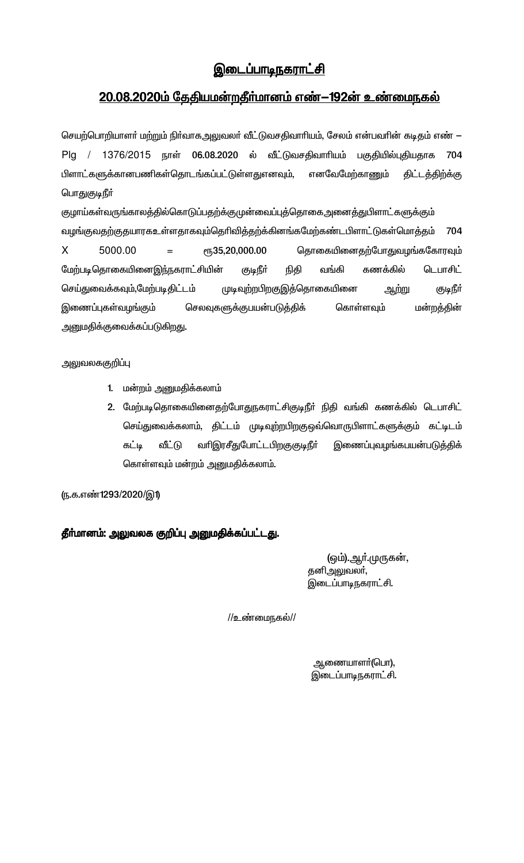# <u>இடைப்பாடிநகராட்சி</u>

# <u>20.08.2020ம் தேதியமன்றதீர்மானம் எண் $-192$ ன் உண்மைநகல்</u>

செயற்பொறியாளா் மற்றும் நிா்வாகஅலுவலா் வீட்டுவசதிவாாியம், சேலம் என்பவாின் கடிதம் எண் — Plg / 1376/2015 நாள் 06.08.2020 ல் வீட்டுவசதிவாரியம் பகுதியில்புதியதாக 704 பிளாட்களுக்கானபணிகள்தொடங்கப்பட்டுள்ளதுஎனவும், எனவேமேற்காணும் திட்டத்திற்க்கு பொதுகுடிநீர்

குழாய்கள்வருங்காலத்தில்கொடுப்பதற்க்குமுன்வைப்புத்தொகைஅனைத்துபிளாட்களுக்கும் வழங்குவதற்குதயாரகஉள்ளதாகவும்தெரிவித்தற்க்கினங்கமேற்கண்டபிளாட்டுகள்மொத்தம் 704 தொகையினைதற்போதுவழங்ககோரவும்  $\mathsf{X}$ 5000.00 ரு35,20,000.00  $=$ மேற்படிதொகையினைஇந்நகராட்சியின் கணக்கில் (குடிநீர் நிதி வங்கி டெபாசிட் செய்துவைக்கவும்,மேற்படிதிட்டம் முடிவுற்றபிறகுஇத்தொகையினை ஆற்று குடிநீா் இணைப்புகள்வழங்கும் செலவுகளுக்குபயன்படுத்திக் மன்றத்தின் கொள்ளவும் அனுமதிக்குவைக்கப்படுகிறது.

அலுவலககுறிப்பு

- 1. மன்றம் அனுமதிக்கலாம்
- 2. மேற்படிதொகையினைதற்போதுநகராட்சிகுடிநீா் நிதி வங்கி கணக்கில் டெபாசிட் செய்துவைக்கலாம், திட்டம் முடிவுற்றபிறகுஒவ்வொருபிளாட்களுக்கும் கட்டிடம் கட்டி வீட்டு வரிஇரசீதுபோட்டபிறகுகுடிநீர் இணைப்புவழங்கபயன்படுத்திக் கொள்ளவும் மன்றம் அனுமதிக்கலாம்.

(ந.க.எண்1293/2020/இ1)

தீா்மானம்: அலுவலக குறிப்பு அனுமதிக்கப்பட்டது.

(ஒம்).ஆா்.முருகன், தனிஅலுவலா், இடைப்பாடிநகராட்சி.

//உண்மைநகல்//

ஆணையாளா்(பொ), இடைப்பாடிநகராட்சி.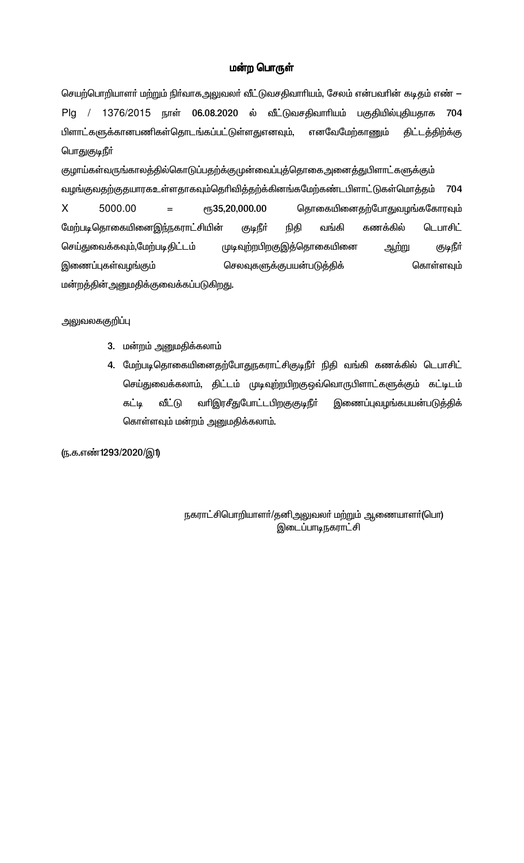### மன்ற பொருள்

செயற்பொறியாளா் மற்றும் நிா்வாகஅலுவலா் வீட்டுவசதிவாாியம், சேலம் என்பவாின் கடிதம் எண் — Plg / 1376/2015 நாள் 06.08.2020 ல் வீட்டுவசதிவாரியம் பகுதியில்புதியதாக 704 பிளாட்களுக்கானபணிகள்தொடங்கப்பட்டுள்ளதுஎனவும், எனவேமேற்காணும் திட்டத்திற்க்கு பொதுகுடிநீர்

குழாய்கள்வருங்காலத்தில்கொடுப்பதற்க்குமுன்வைப்புத்தொகைஅனைத்துபிளாட்களுக்கும் வழங்குவதற்குதயாரகஉள்ளதாகவும்தெரிவித்தற்க்கினங்கமேற்கண்டபிளாட்டுகள்மொத்தம் 704 5000.00  $\mathsf{X}$ **е**ҧ35,20,000.00 தொகையினைதற்போதுவழங்ககோரவும்  $=$ மேற்படி தொகையினைஇந்நகராட்சியின் வங்கி கணக்கில் டெபாசிட் குடிநீர் நிதி செய்துவைக்கவும்,மேற்படிதிட்டம் முடிவுற்றபிறகுஇத்தொகையினை ஆற்று ருடிநீர் இணைப்புகள்வழங்கும் செலவுகளுக்குபயன்படுத்திக் கொள்ளவும் மன்றத்தின் அனுமதிக்குவைக்கப்படுகிறது.

### அலுவலககுறிப்பு

- 3. மன்றம் அனுமதிக்கலாம்
- 4. மேற்படிதொகையினைதற்போதுநகராட்சிகுடிநீா் நிதி வங்கி கணக்கில் டெபாசிட் செய்துவைக்கலாம், திட்டம் முடிவுற்றபிறகுஒவ்வொருபிளாட்களுக்கும் கட்டிடம் கட்டி வீட்டு வரிஇரசீதுபோட்டபிறகுகுடிநீர் இணைப்புவழங்கபயன்படுத்திக் கொள்ளவும் மன்றம் அனுமதிக்கலாம்.

(ந.க.எண்1293/2020/இ1)

நகராட்சிபொறியாளா்/தனிஅலுவலா் மற்றும் ஆணையாளா்(பொ) இடைப்பாடிநகராட்சி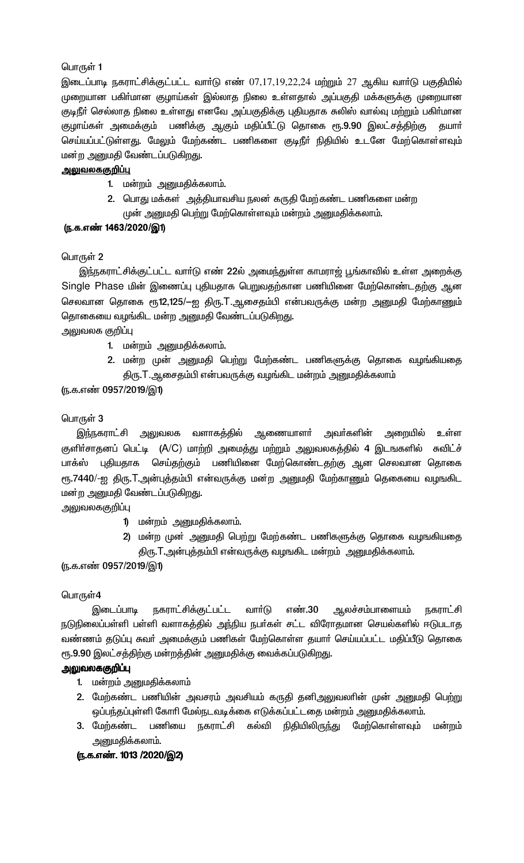இடைப்பாடி நகராட்சிக்குட்பட்ட வார்டு எண் 07,17,19,22,24 மற்றும் 27 ஆகிய வார்டு பகுதியில் முறையான பகிா்மான குழாய்கள் இல்லாத நிலை உள்ளதால் அப்பகுதி மக்களுக்கு முறையான குடிநீா் செல்லாத நிலை உள்ளது எனவே அப்பகுதிக்கு புதியதாக சுலிஸ் வால்வு மற்றும் பகிா்மான குழாய்கள் அமைக்கும் பணிக்கு ஆகும் மதிப்பீட்டு தொகை ரூ.9.90 இலட்சத்திற்கு கயார் செய்யப்பட்டுள்ளது. மேலும் மேற்கண்ட பணிகளை குடிநீா் நிதியில் உடனே மேற்கொள்ளவும் மன்ற அனுமதி வேண்டப்படுகிறது.

# <u>அலுவலககுறிப்பு</u>

- 1. மன்றம் அனுமதிக்கலாம்.
- 2. பொது மக்கள் அத்தியாவசிய நலன் கருதி மேற்கண்ட பணிகளை மன்ற முன் அனுமதி பெற்று மேற்கொள்ளவும் மன்றம் அனுமதிக்கலாம்.

# (ந.க.எண் 1463/2020/இ1)

# பொருள் 2

இந்நகராட்சிக்குட்பட்ட வார்டு எண் 22ல் அமைந்துள்ள காமராஜ் பூங்காவில் உள்ள அறைக்கு Single Phase மின் இணைப்பு புதியதாக பெறுவதற்கான பணியினை மேற்கொண்டதற்கு ஆன செலவான தொகை ரூ12,125/–ஐ திரு.T.ஆசைதம்பி என்பவருக்கு மன்ற அனுமதி மேற்காணும் தொகையை வழங்கிட மன்ற அனுமதி வேண்டப்படுகிறது.

அலுவலக குறிப்பு

- 1. மன்றம் அனுமதிக்கலாம்.
- 2. மன்ற முன் அனுமதி பெற்று மேற்கண்ட பணிகளுக்கு தொகை வழங்கியதை திரு.T.ஆசைதம்பி என்பவருக்கு வழங்கிட மன்றம் அனுமதிக்கலாம்

# (ந.க.எண் 0957/2019/இ1)

# பொருள் 3

இந்நகராட்சி அலுவலக வளாகத்தில் ஆணையாளா் அவா்களின் அறையில் உள்ள குளிா்சாதனப் பெட்டி (A/C) மாற்றி அமைத்து மற்றும் அலுவலகத்தில் 4 இடஙகளில் சுவிட்ச் பாக்ஸ் புதியதாக செய்தற்கும் பணியினை மேற்கொண்டதற்கு ஆன செலவான தொகை ரூ.7440/-ஐ திரு.T.அன்புத்தம்பி என்வருக்கு மன்ற அனுமதி மேற்காணும் தெகையை வழஙகிட மன்ற அனுமதி வேண்டப்படுகிறது.

அலுவலககுறிப்பு

- 1) மன்றம் அனுமதிக்கலாம்.
- 2) மன்ற முன் அனுமதி பெற்று மேற்கண்ட பணிகளுக்கு தொகை வழஙகியதை திரு.T.அன்புத்தம்பி என்வருக்கு வழஙகிட மன்றம் அனுமதிக்கலாம்.

# (ந.க.எண் 0957/2019/இ1)

### பொருள்4

இடைப்பாடி நகராட்சிக்குட்பட்ட வாா்டு எண்.30 அலச்சம்பாளையம் <u>நகராட்சி</u> நடுநிலைப்பள்ளி பள்ளி வளாகத்தில் அந்நிய நபர்கள் சட்ட விரோதமான செயல்களில் ஈடுபடாத வண்ணம் தடுப்பு சுவா் அமைக்கும் பணிகள் மேற்கொள்ள தயாா் செய்யப்பட்ட மதிப்பீடு தொகை ரூ.9.90 இலட்சத்திற்கு மன்றத்தின் அனுமதிக்கு வைக்கப்படுகிறது.

# அலுவலககுறிப்பு

- 1. மன்றம் அனுமதிக்கலாம்
- 2. மேற்கண்ட பணியின் அவசரம் அவசியம் கருதி தனிஅலுவலாின் முன் அனுமதி பெற்று ஒப்பந்தப்புள்ளி கோரி மேல்நடவடிக்கை எடுக்கப்பட்டதை மன்றம் அனுமதிக்கலாம்.
- 3. மேற்கண்ட பணியை நகராட்சி கல்வி நிதியிலிருந்து மேற்கொள்ளவும் மன்றம் அனுமதிக்கலாம்.

### (ந.க.எண். 1013 /2020/இ2)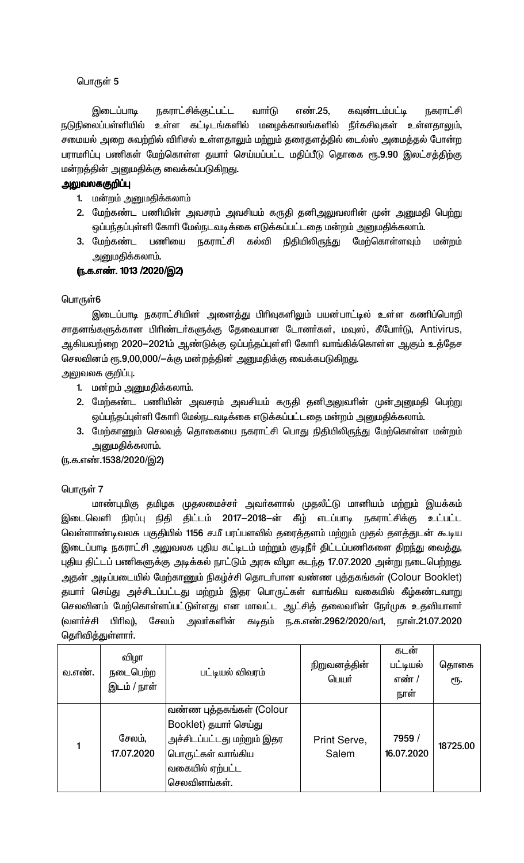நகராட்சிக்குட்பட்ட வார்டு எண்.25, கவுண்டம்பட்டி இடைப்பாடி <u>நகராட்சி</u> நடுநிலைப்பள்ளியில் உள்ள கட்டிடங்களில் மழைக்காலங்களில் நீர்கசிவுகள் உள்ளதாலும், சமையல் அறை சுவற்றில் விரிசல் உள்ளதாலும் மற்றும் தரைதளத்தில் டைல்ஸ் அமைத்தல் போன்ற பராமரிப்பு பணிகள் மேற்கொள்ள தயார் செய்யப்பட்ட மதிப்பீடு தொகை ரூ.9.90 இலட்சத்திற்கு மன்றத்தின் அனுமதிக்கு வைக்கப்படுகிறது.

# அலுவலககுறிப்பு

- 1. மன்றம் அனுமதிக்கலாம்
- 2. மேற்கண்ட பணியின் அவசரம் அவசியம் கருதி தனிஅலுவலாின் முன் அனுமதி பெற்று ஒப்பந்தப்புள்ளி கோரி மேல்நடவடிக்கை எடுக்கப்பட்டதை மன்றம் அனுமதிக்கலாம்.
- 3. மேற்கண்ட பணியை நகராட்சி கல்வி நிதியிலிருந்து மேற்கொள்ளவும் மன்றம் அனுமதிக்கலாம்.

# (ந.க.எண். 1013 /2020/இ2)

# பொருள்6

இடைப்பாடி நகராட்சியின் அனைத்து பிரிவுகளிலும் பயன்பாட்டில் உள்ள கணிப்பொறி சாதனங்களுக்கான பிரிண்டர்களுக்கு தேவையான டோனர்கள், மவுஸ், கீபோர்டு, Antivirus, ஆகியவற்றை 2020—2021ம் ஆண்டுக்கு ஒப்பந்தப்புள்ளி கோரி வாங்கிக்கொள்ள ஆகும் உத்தேச செலவினம் ரூ.9,00,000/—க்கு மன்றத்தின் அனுமதிக்கு வைக்கபடுகிறது.

அலுவலக குறிப்பு.

- 1. மன்றம் அனுமதிக்கலாம்.
- 2. மேற்கண்ட பணியின் அவசரம் அவசியம் கருதி தனிஅலுவரின் முன்அனுமதி பெற்று ஒப்பந்தப்புள்ளி கோரி மேல்நடவடிக்கை எடுக்கப்பட்டதை மன்றம் அனுமதிக்கலாம்.
- 3. மேற்காணும் செலவுத் தொகையை நகராட்சி பொது நிதியிலிருந்து மேற்கொள்ள மன்றம் அனுமதிக்கலாம்.

(ந.க.எண்.1538/2020/இ2)

# பொருள் 7

மாண்புமிகு தமிழக முதலமைச்சா் அவா்களால் முதலீட்டு மானியம் மற்றும் இயக்கம் இடைவெளி நிரப்பு நிதி திட்டம் 2017—2018—ன் கீழ் எடப்பாடி நகராட்சிக்கு உட்பட்ட வெள்ளாண்டிவலசு பகுதியில் 1156 ச.மீ பரப்பளவில் தரைத்தளம் மற்றும் முதல் தளத்துடன் கூடிய இடைப்பாடி நகராட்சி அலுவலக புதிய கட்டிடம் மற்றும் குடிநீர் திட்டப்பணிகளை திறந்து வைத்து, புதிய திட்டப் பணிகளுக்கு அடிக்கல் நாட்டும் அரசு விழா கடந்த 17.07.2020 அன்று நடைபெற்றது. அதன் அடிப்படையில் மேற்காணும் நிகழ்ச்சி தொடர்பான வண்ண புத்தகங்கள் (Colour Booklet) தயாா் செய்து அச்சிடப்பட்டது மற்றும் இதர பொருட்கள் வாங்கிய வகையில் கீழ்கண்டவாறு செலவினம் மேற்கொள்ளப்பட்டுள்ளது என மாவட்ட ஆட்சித் தலைவரின் நோ்முக உதவியாளா் (வளர்ச்சி பிரிவு), சேலம் அவர்களின் கடிதம் ந.க.எண்.2962/2020/வ1, நாள்.21.07.2020 தெரிவித்துள்ளார்.

| வ.எண். | விழா<br>நடைபெற்ற<br>இடம் / நாள் | பட்டியல் விவரம்                                                                                                                         | நிறுவனத்தின்<br>பெயர் | கடன்<br>பட்டியல்<br>எண் /<br>நாள் | தொகை<br>ரூ. |
|--------|---------------------------------|-----------------------------------------------------------------------------------------------------------------------------------------|-----------------------|-----------------------------------|-------------|
|        | சேலம்.<br>17.07.2020            | வண்ண புத்தகங்கள் (Colour<br>Booklet) தயார் செய்து<br>அச்சிடப்பட்டது மற்றும் இதர<br>பொருட்கள் வாங்கிய<br>வகையில் ஏற்பட்ட<br>செலவினங்கள். | Print Serve,<br>Salem | 7959 /<br>16.07.2020              | 18725.00    |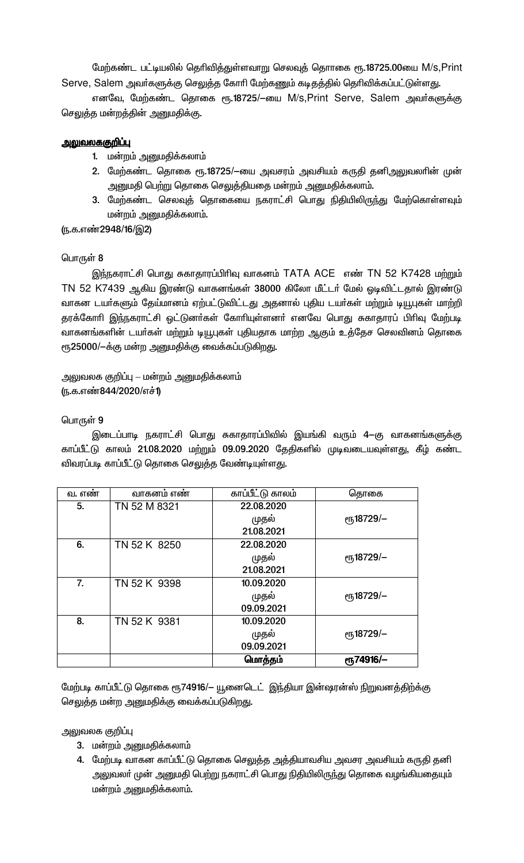மேற்கண்ட பட்டியலில் தெரிவித்துள்ளவாறு செலவுத் தொாகை ரூ.18725.00யை M/s, Print Serve, Salem அவர்களுக்கு செலுத்த கோரி மேற்கணும் கடிதத்தில் தெரிவிக்கப்பட்டுள்ளது.

எனவே, மேற்கண்ட தொகை ரூ.18725/–யை M/s, Print Serve, Salem அவர்களுக்கு செலுத்த மன்றத்தின் அனுமதிக்கு.

# <u>அலுவலககுறிப்பு</u>

- 1. மன்றம் அனுமதிக்கலாம்
- 2. மேற்கண்ட தொகை ரூ.18725/-யை அவசரம் அவசியம் கருதி தனிஅலுவலாின் முன் அனுமதி பெற்று தொகை செலுத்தியதை மன்றம் அனுமதிக்கலாம்.
- 3. மேற்கண்ட செலவுத் தொகையை நகராட்சி பொது நிதியிலிருந்து மேற்கொள்ளவும் மன்றம் அனுமதிக்கலாம்.

(ந.க.எண்2948/16/இ2)

### பொருள் 8

இந்நகராட்சி பொது சுகாதாரப்பிரிவு வாகனம் TATA ACE எண் TN 52 K7428 மற்றும் TN 52 K7439 ஆகிய இரண்டு வாகனங்கள் 38000 கிலோ மீட்டர் மேல் ஓடிவிட்டதால் இரண்டு வாகன டயர்களும் தேய்மானம் ஏற்பட்டுவிட்டது அதனால் புதிய டயர்கள் மற்றும் டியூபுகள் மாற்றி தரக்கோரி இந்நகராட்சி ஒட்டுனா்கள் கோாியுள்ளனா் எனவே பொது சுகாதாரப் பிாிவு மேற்படி வாகனங்களின் டயா்கள் மற்றும் டியூபுகள் புதியதாக மாற்ற ஆகும் உத்தேச செலவினம் தொகை ரூ25000/-க்கு மன்ற அனுமதிக்கு வைக்கப்படுகிறது.

அலுவலக குறிப்பு – மன்றம் அனுமதிக்கலாம் (ந.க.எண்844/2020/எச்1)

### பொருள் 9

இடைப்பாடி நகராட்சி பொது சுகாதாரப்பிவில் இயங்கி வரும் 4—கு வாகனங்களுக்கு காப்பீட்டு காலம் 21.08.2020 மற்றும் 09.09.2020 தேதிகளில் முடிவடையவுள்ளது, கீழ் கண்ட விவரப்படி காப்பீட்டு தொகை செலுத்த வேண்டியுள்ளது.

| ٠<br>வ. எண | வாகனம எண     | காப்பீட்டு காலம் | தொகை                  |
|------------|--------------|------------------|-----------------------|
| 5.         | TN 52 M 8321 | 22.08.2020       |                       |
|            |              | முதல்            | еҧ18729/-             |
|            |              | 21.08.2021       |                       |
| 6.         | TN 52 K 8250 | 22.08.2020       |                       |
|            |              | முதல்            | ரூ18729/-             |
|            |              | 21.08.2021       |                       |
| 7.         | TN 52 K 9398 | 10.09.2020       |                       |
|            |              | முதல்            | <sub>e</sub> 518729/- |
|            |              | 09.09.2021       |                       |
| 8.         | TN 52 K 9381 | 10.09.2020       |                       |
|            |              | முதல்            | <sub>e</sub> 518729/- |
|            |              | 09.09.2021       |                       |
|            |              | மொத்தம்          | <b>е</b> ҧ74916/-     |

மேற்படி காப்பீட்டு தொகை ரூ74916/— யூனைடெட் இந்தியா இன்ஷரன்ஸ் நிறுவனத்திற்க்கு செலுத்த மன்ற அனுமதிக்கு வைக்கப்படுகிறது.

அலுவலக குறிப்பு

- 3. மன்றம் அனுமதிக்கலாம்
- 4. மேற்படி வாகன காப்பீட்டு தொகை செலுத்த அத்தியாவசிய அவசர அவசியம் கருதி தனி அலுவலா் முன் அனுமதி பெற்று நகராட்சி பொது நிதியிலிருந்து தொகை வழங்கியதையும் மன்றம் அனுமதிக்கலாம்.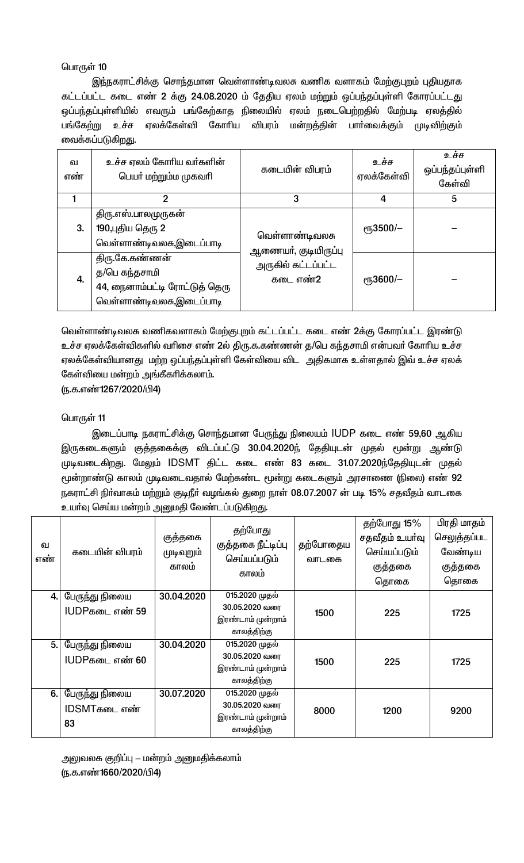இந்நகராட்சிக்கு சொந்தமான வெள்ளாண்டிவலசு வணிக வளாகம் மேற்குபுறம் புதியதாக கட்டப்பட்ட கடை எண் 2 க்கு 24.08.2020 ம் தேதிய ஏலம் மற்றும் ஒப்பந்தப்புள்ளி கோரப்பட்டது ஒப்பந்தப்புள்ளியில் எவரும் பங்கேற்காத நிலையில் ஏலம் நடைபெற்றதில் மேற்படி ஏலத்தில் பங்கேற்று உச்ச ஏலக்கேள்வி கோரிய விபரம் மன்றத்தின் பாா்வைக்கும் முடிவிற்கும் வைக்கப்படுகிறது.

| ഖ<br>எண் | உச்ச ஏலம் கோரிய வர்களின்<br>பெயா் மற்றும்ம முகவாி                                            | கடையின் விபரம்                         | உச்ச<br>ஏலக்கேள்வி   | உச்ச<br>ஒப்பந்தப்புள்ளி<br>கேள்வி |
|----------|----------------------------------------------------------------------------------------------|----------------------------------------|----------------------|-----------------------------------|
|          | 2                                                                                            | 3                                      | 4                    | 5                                 |
| 3.       | திரு.எஸ்.பாலமுருகன்<br>190,புதிய தெரு 2<br>வெள்ளாண்டிவலசு,இடைப்பாடி                          | வெள்ளாண்டிவலசு<br>ஆணையா், குடியிருப்பு | <sub>е</sub> 53500/- |                                   |
| 4.       | திரு.கே.கண்ணன்<br>த/பெ கந்தசாமி<br>44, நைனாம்பட்டி ரோட்டுத் தெரு<br>வெள்ளாண்டிவலசு,இடைப்பாடி | அருகில் கட்டப்பட்ட<br>கடை எண்2         | $\epsilon$ гҧЗ600/—  |                                   |

வெள்ளாண்டிவலசு வணிகவளாகம் மேற்குபுறம் கட்டப்பட்ட கடை எண் 2க்கு கோரப்பட்ட இரண்டு உச்ச ஏலக்கேள்விகளில் வரிசை எண் 2ல் திரு.க.கண்ணன் த/பெ கந்தசாமி என்பவர் கோரிய உச்ச ஏலக்கேள்வியானது மற்ற ஒப்பந்தப்புள்ளி கேள்வியை விட அதிகமாக உள்ளதால் இவ் உச்ச ஏலக் கேள்வியை மன்றம் அங்கீகரிக்கலாம்.

(ந.க.எண்1267/2020/பி4)

# பொருள் 11

இடைப்பாடி நகராட்சிக்கு சொந்தமான பேருந்து நிலையம் IUDP கடை எண் 59,60 ஆகிய இருகடைகளும் குத்தகைக்கு விடப்பட்டு 30.04.2020ந் தேதியுடன் முதல் மூன்று ஆண்டு முடிவடைகிறது. மேலும் IDSMT திட்ட கடை எண் 83 கடை 31.07.2020ந்தேதியுடன் முதல் மூன்றாண்டு காலம் முடிவடைவதால் மேற்கண்ட மூன்று கடைகளும் அரசாணை (நிலை) எண் 92 நகராட்சி நிர்வாகம் மற்றும் குடிநீர் வழங்கல் துறை நாள் 08.07.2007 ன் படி 15% சதவீதம் வாடகை உயா்வு செய்ய மன்றம் அனுமதி வேண்டப்படுகிறது.

| ഖ<br>எண் | கடையின் விபரம்                          | குத்தகை<br>முடிவுறும்<br>காலம் | தற்போது<br>குத்தகை நீட்டிப்பு<br>செய்யப்படும்<br>காலம்               | தற்போதைய<br>வாடகை | தற்போது 15%<br>சதவீதம் உயர்வு<br>செய்யப்படும்<br>குத்தகை<br>தொகை | பிரதி மாதம்<br>செலுத்தப்பட<br>வேண்டிய<br>குத்தகை<br>தொகை |
|----------|-----------------------------------------|--------------------------------|----------------------------------------------------------------------|-------------------|------------------------------------------------------------------|----------------------------------------------------------|
| 4. I     | பேருந்து நிலைய<br><b>IUDPகடை எண் 59</b> | 30.04.2020                     | 015.2020 முதல்<br>30.05.2020 வரை<br>இரண்டாம் முன்றாம்<br>காலத்திற்கு | 1500              | 225                                                              | 1725                                                     |
| 5.       | பேருந்து நிலைய<br>IUDPகடை எண் 60        | 30.04.2020                     | 015.2020 முதல்<br>30.05.2020 வரை<br>இரண்டாம் முன்றாம்<br>காலத்திற்கு | 1500              | 225                                                              | 1725                                                     |
| 6.       | பேருந்து நிலைய<br>IDSMTகடை எண்<br>83    | 30.07.2020                     | 015.2020 முதல்<br>30.05.2020 வரை<br>இரண்டாம் முன்றாம்<br>காலத்திற்கு | 8000              | 1200                                                             | 9200                                                     |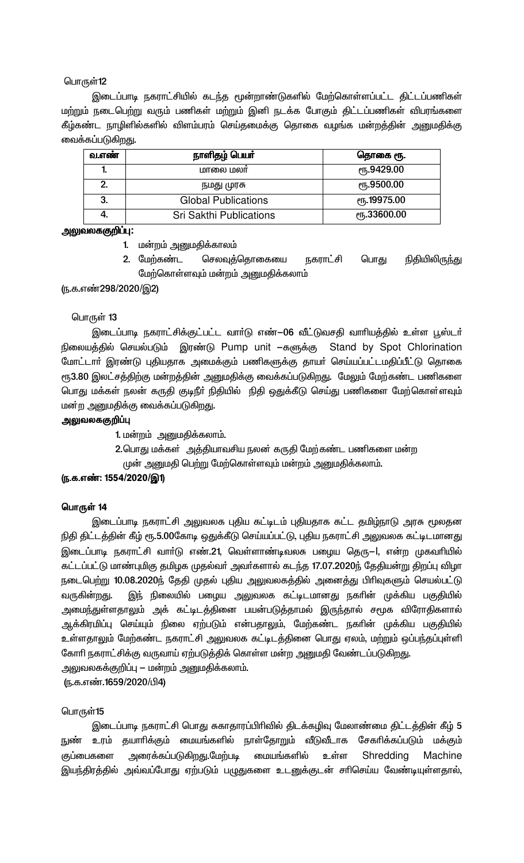இடைப்பாடி நகராட்சியில் கடந்த மூன்றாண்டுகளில் மேற்கொள்ளப்பட்ட திட்டப்பணிகள் மற்றும் நடைபெற்று வரும் பணிகள் மற்றும் இனி நடக்க போகும் திட்டப்பணிகள் விபரங்களை கீழ்கண்ட நாழிளில்களில் விளம்பரம் செய்தமைக்கு தொகை வழங்க மன்றத்தின் அனுமதிக்கு வைக்கப்படுகிறது.

| வ.எண | நாளிதழ் பெயர்                  | தொகை ரூ.                           |
|------|--------------------------------|------------------------------------|
| ٠.   | மாலை மலா                       | <sub>(</sub> ҧ.9429.00             |
| 2.   | நமது முரசு                     | <sub>ሮ</sub> դ.9500.00             |
| 3.   | <b>Global Publications</b>     | <b><i>e</i><sup>19975.00</sup></b> |
|      | <b>Sri Sakthi Publications</b> | <b><i>e</i>ҧ.33600.00</b>          |

### அலுவலககுறிப்பு:

- 1. மன்றம் அனுமதிக்காலம்
- நகராட்சி நிதியிலிருந்து செலவுத்தொகையை பொது 2. மேற்கண்ட மேற்கொள்ளவும் மன்றம் அனுமதிக்கலாம்

<u>(ந</u>.க.எண்298/2020/இ2)

### பொருள் 13

இடைப்பாடி நகராட்சிக்குட்பட்ட வாா்டு எண்—06 வீட்டுவசதி வாாியத்தில் உள்ள பூஸ்டா் நிலையத்தில் செயல்படும் இரண்டு Pump unit —களுக்கு Stand by Spot Chlorination மோட்டார் இரண்டு புதியதாக அமைக்கும் பணிகளுக்கு தாயர் செய்யப்பட்டமதிப்பீட்டு தொகை ரூ3.80 இலட்சத்திற்கு மன்றத்தின் அனுமதிக்கு வைக்கப்படுகிறது. மேலும் மேற்கண்ட பணிகளை பொது மக்கள் நலன் கருதி குடிநீா் நிதியில் நிதி ஒதுக்கீடு செய்து பணிகளை மேற்கொள்ளவும் மன்ற அனுமதிக்கு வைக்கப்படுகிறது.

### அலுவலககுறிப்பு

1. மன்றம் அனுமதிக்கலாம்.

2.பொது மக்கள் அத்தியாவசிய நலன் கருதி மேற்கண்ட பணிகளை மன்ற

முன் அனுமதி பெற்று மேற்கொள்ளவும் மன்றம் அனுமதிக்கலாம்.

### (ந.க.எண்: 1554/2020/இ1)

### பொருள் 14

இடைப்பாடி நகராட்சி அலுவலக புதிய கட்டிடம் புதியதாக கட்ட தமிழ்நாடு அரசு மூலதன நிதி திட்டத்தின் கீழ் ரூ.5.00கோடி ஒதுக்கீடு செய்யப்பட்டு, புதிய நகராட்சி அலுவலக கட்டிடமானது இடைப்பாடி நகராட்சி வார்டு எண்.21, வெள்ளாண்டிவலசு பழைய தெரு—l, என்ற முகவரியில் கட்டப்பட்டு மாண்புமிகு தமிழக முதல்வர் அவர்களால் கடந்த 17.07.2020ந் தேதியன்று திறப்பு விழா நடைபெற்று 10.08.2020ந் தேதி முதல் புதிய அலுவலகத்தில் அனைத்து பிரிவுகளும் செயல்பட்டு இந் நிலையில் பழைய அலுவலக கட்டிடமானது நகரின் முக்கிய பகுதியில் வருகின்றது. அமைந்துள்ளதாலும் அக் கட்டிடத்தினை பயன்படுத்தாமல் இருந்தால் சமூக விரோதிகளால் ஆக்கிரமிப்பு செய்யும் நிலை ஏற்படும் என்பதாலும், மேற்கண்ட நகரின் முக்கிய பகுதியில் உள்ளதாலும் மேற்கண்ட நகராட்சி அலுவலக கட்டிடத்தினை பொது ஏலம், மற்றும் ஒப்பந்தப்புள்ளி கோரி நகராட்சிக்கு வருவாய் ஏற்படுத்திக் கொள்ள மன்ற அனுமதி வேண்டப்படுகிறது. அலுவலகக்குறிப்பு — மன்றம் அனுமதிக்கலாம்.

(ந.க.எண்.1659/2020/பி4)

### பொருள்15

இடைப்பாடி நகராட்சி பொது சுகாதாரப்பிரிவில் திடக்கழிவு மேலாண்மை திட்டத்தின் கீழ் 5 நுண் உரம் தயாாிக்கும் மையங்களில் நாள்தோறும் வீடுவீடாக சேகாிக்கப்படும் மக்கும் குப்பைகளை அரைக்கப்படுகிறது.மேற்படி மையங்களில் உள்ள Shredding Machine இயந்திரத்தில் அவ்வப்போது ஏற்படும் பழுதுகளை உடனுக்குடன் சாிசெய்ய வேண்டியுள்ளதால்,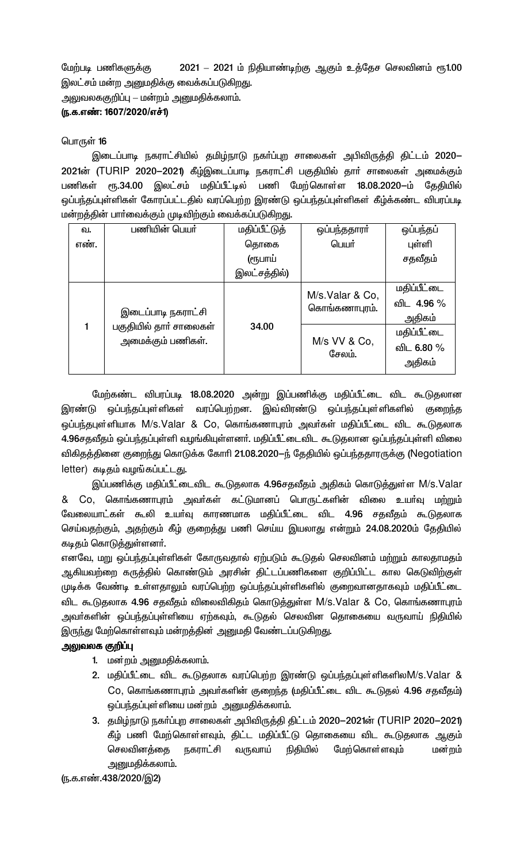மேற்படி பணிகளுக்கு 2021 – 2021 ம் நிதியாண்டிற்கு ஆகும் உத்தேச செலவினம் ரூ1.00 இலட்சம் மன்ற அனுமதிக்கு வைக்கப்படுகிறது. அலுவலககுறிப்பு — மன்றம் அனுமதிக்கலாம்.

(ந.க.எண்: 1607/2020/எச்1)

### பொருள் 16

இடைப்பாடி நகராட்சியில் தமிழ்நாடு நகா்ப்புற சாலைகள் அபிவிருத்தி திட்டம் 2020— 2021ன் (TURIP 2020-2021) கீழ்இடைப்பாடி நகராட்சி பகுதியில் தார் சாலைகள் அமைக்கும் பணிகள் ரூ.34.00 இலட்சம் மதிப்பீட்டில் பணி மேற்கொள்ள 18.08.2020-ம் தேதியில் ஒப்பந்தப்புள்ளிகள் கோரப்பட்டதில் வரப்பெற்ற இரண்டு ஒப்பந்தப்புள்ளிகள் கீழ்க்கண்ட விபரப்படி மன்றத்தின் பார்வைக்கும் முடிவிற்கும் வைக்கப்படுகிறது.

| ---  |                                                                   |                      |                                  |                                     |
|------|-------------------------------------------------------------------|----------------------|----------------------------------|-------------------------------------|
| ഖ.   | பணியின் பெயர்                                                     | <b>மதிப்பீட்டுத்</b> | ஒப்பந்ததாரா                      | ஒப்பந்தப்                           |
| எண். |                                                                   | தொகை                 | பெயர்                            | புள்ளி                              |
|      |                                                                   | (ரூபாய்              |                                  | சதவீதம்                             |
|      |                                                                   | இலட்சத்தில்)         |                                  |                                     |
|      | இடைப்பாடி நகராட்சி<br>பகுதியில் தார் சாலைகள்<br>அமைக்கும் பணிகள். |                      | M/s.Valar & Co,<br>கொங்கணாபுரம். | மதிப்பீட்டை<br>விட 4.96 %<br>அதிகம் |
|      |                                                                   | 34.00                | M/s VV & Co,<br>சேலம்.           | மதிப்பீட்டை<br>விட 6.80 %<br>அதிகம் |

மேற்கண்ட விபரப்படி 18.08.2020 அன்று இப்பணிக்கு மதிப்பீட்டை விட கூடுதலான இரண்டு ஒப்பந்தப்புள்ளிகள் வரப்பெற்றன. இவ்விரண்டு ஒப்பந்தப்புள்ளிகளில் குறைந்த ஒப்பந்தபுள்ளியாக M/s.Valar & Co, கொங்கணாபுரம் அவர்கள் மதிப்பீட்டை விட கூடுதலாக 4.96சதவீதம் ஒப்பந்தப்புள்ளி வழங்கியுள்ளனர். மதிப்பீட்டைவிட கூடுதலான ஒப்பந்தப்புள்ளி விலை விகிதத்தினை குறைந்து கொடுக்க கோரி 21.08.2020–ந் தேதியில் ஒப்பந்ததாரருக்கு (Negotiation letter) கடிதம் வழங்கப்பட்டது.

இப்பணிக்கு மதிப்பீட்டைவிட கூடுதலாக 4.96சதவீதம் அதிகம் கொடுத்துள்ள M/s.Valar & Co, கொங்கணாபுரம் அவர்கள் கட்டுமானப் பொருட்களின் விலை உயர்வு மற்றும் வேலையாட்கள் கூலி உயர்வு காரணமாக மதிப்பீட்டை விட 4.96 சதவீதம் கூடுதலாக செய்வதற்கும், அதற்கும் கீழ் குறைத்து பணி செய்ய இயலாது என்றும் 24.08.2020ம் தேதியில் கடிதம் கொடுத்துள்ளனர்.

எனவே, மறு ஒப்பந்தப்புள்ளிகள் கோருவதால் ஏற்படும் கூடுதல் செலவினம் மற்றும் காலதாமதம் ஆகியவற்றை கருத்தில் கொண்டும் அரசின் திட்டப்பணிகளை குறிப்பிட்ட கால கெடுவிற்குள் முடிக்க வேண்டி உள்ளதாலும் வரப்பெற்ற ஒப்பந்தப்புள்ளிகளில் குறைவானதாகவும் மதிப்பீட்டை விட கூடுதலாக 4.96 சதவீதம் விலைவிகிதம் கொடுத்துள்ள M/s.Valar & Co, கொங்கணாபுரம் அவா்களின் ஒப்பந்தப்புள்ளியை ஏற்கவும், கூடுதல் செலவின தொகையை வருவாய் நிதியில் இருந்து மேற்கொள்ளவும் மன்றத்தின் அனுமதி வேண்டப்படுகிறது.

### அலுவலக குறிப்பு

- 1. மன்றம் அனுமதிக்கலாம்.
- 2. மதிப்பீட்டை விட கூடுதலாக வரப்பெற்ற இரண்டு ஒப்பந்தப்புள்ளிகளிலM/s.Valar & Co, கொங்கணாபுரம் அவர்களின் குறைந்த (மதிப்பீட்டை விட கூடுதல் 4.96 சதவீதம்) ஒப்பந்தப்புள்ளியை மன்றம் அனுமதிக்கலாம்.
- 3. தமிழ்நாடு நகர்ப்புற சாலைகள் அபிவிருத்தி திட்டம் 2020-2021ன் (TURIP 2020-2021) கீழ் பணி மேற்கொள்ளவும், திட்ட மதிப்பீட்டு தொகையை விட கூடுதலாக ஆகும் நகராட்சி வருவாய் நிதியில் செலவினத்தை மேற்கொள்ளவும் மன்றம் அனுமதிக்கலாம்.

<u>(ந</u>.க.எண்.438/2020/இ2)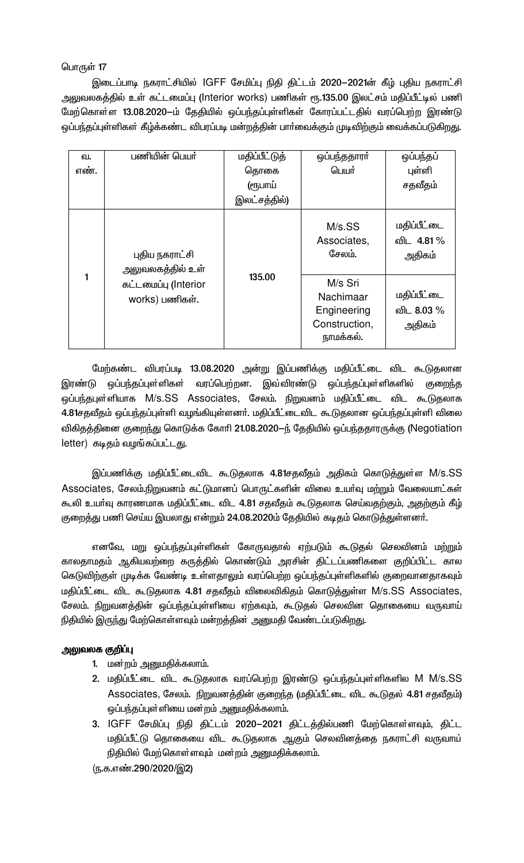இடைப்பாடி நகராட்சியில் IGFF சேமிப்பு நிதி திட்டம் 2020–2021ன் கீழ் புதிய நகராட்சி அலுவலகத்தில் உள் கட்டமைப்பு (Interior works) பணிகள் ரூ.135.00 இலட்சம் மதிப்பீட்டில் பணி மேற்கொள்ள 13.08.2020-ம் தேதியில் ஒப்பந்தப்புள்ளிகள் கோரப்பட்டதில் வரப்பெற்ற இரண்டு ஒப்பந்தப்புள்ளிகள் கீழ்க்கண்ட விபரப்படி மன்றத்தின் பார்வைக்கும் முடிவிற்கும் வைக்கப்படுகிறது.

| வ.   | பணியின் பெயர்                          | மதிப்பீட்டுத் | ஒப்பந்ததாரா                                                       | ஒப்பந்தப்                           |
|------|----------------------------------------|---------------|-------------------------------------------------------------------|-------------------------------------|
| எண். |                                        | தொகை          | பெயர்                                                             | புள்ளி                              |
|      |                                        | (ரூபாய்       |                                                                   | சதவீதம்                             |
|      |                                        | இலட்சத்தில்)  |                                                                   |                                     |
|      | புதிய நகராட்சி<br>அலுவலகத்தில் உள்     |               | $M/s$ .SS<br>Associates,<br>சேலம்.                                | மதிப்பீட்டை<br>விட 4.81 %<br>அதிகம் |
|      | கட்டமைப்பு (Interior<br>works) பணிகள். | 135.00        | M/s Sri<br>Nachimaar<br>Engineering<br>Construction,<br>நாமக்கல். | மதிப்பீட்டை<br>விட 8.03 %<br>அதிகம் |

மேற்கண்ட விபரப்படி 13.08.2020 அன்று இப்பணிக்கு மதிப்பீட்டை விட கூடுதலான இரண்டு ஒப்பந்தப்புள்ளிகள் வரப்பெற்றன. இவ்விரண்டு ஒப்பந்தப்புள்ளிகளில் குறைந்த ஒப்பந்தபுள்ளியாக M/s.SS Associates, சேலம். நிறுவனம் மதிப்பீட்டை விட கூடுதலாக 4.81சதவீதம் ஒப்பந்தப்புள்ளி வழங்கியுள்ளனர். மதிப்பீட்டைவிட கூடுதலான ஒப்பந்தப்புள்ளி விலை விகிதத்தினை குறைந்து கொடுக்க கோரி 21.08.2020–ந் தேதியில் ஒப்பந்ததாரருக்கு (Negotiation letter) கடிதம் வழங்கப்பட்டது.

இப்பணிக்கு மதிப்பீட்டைவிட கூடுதலாக 4.81சதவீதம் அதிகம் கொடுத்துள்ள M/s.SS Associates, சேலம்.நிறுவனம் கட்டுமானப் பொருட்களின் விலை உயர்வு மற்றும் வேலையாட்கள் கூலி உயர்வு காரணமாக மதிப்பீட்டை விட 4.81 சதவீதம் கூடுதலாக செய்வதற்கும், அதற்கும் கீழ் குறைத்து பணி செய்ய இயலாது என்றும் 24.08.2020ம் தேதியில் கடிதம் கொடுத்துள்ளனர்.

எனவே, மறு ஒப்பந்தப்புள்ளிகள் கோருவதால் ஏற்படும் கூடுதல் செலவினம் மற்றும் காலதாமதம் ஆகியவற்றை கருத்தில் கொண்டும் அரசின் திட்டப்பணிகளை குறிப்பிட்ட கால கெடுவிற்குள் முடிக்க வேண்டி உள்ளதாலும் வரப்பெற்ற ஒப்பந்தப்புள்ளிகளில் குறைவானதாகவும் மதிப்பீட்டை விட கூடுதலாக 4.81 சதவீதம் விலைவிகிதம் கொடுத்துள்ள M/s.SS Associates, சேலம். நிறுவனத்தின் ஒப்பந்தப்புள்ளியை ஏற்கவும், கூடுதல் செலவின தொகையை வருவாய் நிதியில் இருந்து மேற்கொள்ளவும் மன்றத்தின் அனுமதி வேண்டப்படுகிறது.

### அலுவலக குறிப்பு

- 1. மன்றம் அனுமதிக்கலாம்.
- 2. மதிப்பீட்டை விட கூடுதலாக வரப்பெற்ற இரண்டு ஒப்பந்தப்புள்ளிகளில M M/s.SS Associates, சேலம். நிறுவனத்தின் குறைந்த (மதிப்பீட்டை விட கூடுதல் 4.81 சதவீதம்) ஒப்பந்தப்புள்ளியை மன்றம் அனுமதிக்கலாம்.
- 3. IGFF சேமிப்பு நிதி திட்டம் 2020–2021 திட்டத்தில்பணி மேற்கொள்ளவும், திட்ட மதிப்பீட்டு தொகையை விட கூடுதலாக ஆகும் செலவினத்தை நகராட்சி வருவாய் நிதியில் மேற்கொள்ளவும் மன்றம் அனுமதிக்கலாம்.

(ந.க.எண்.290/2020/இ2)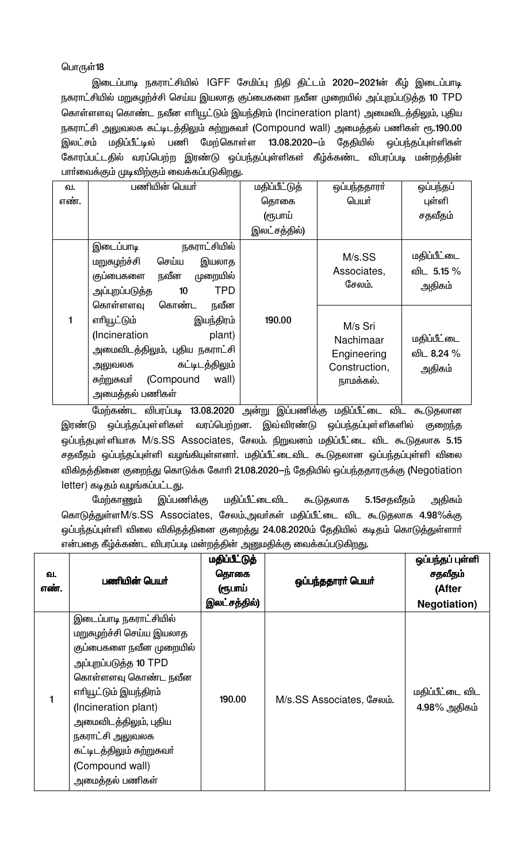இடைப்பாடி நகராட்சியில் IGFF சேமிப்பு நிதி திட்டம் 2020–2021ன் கீழ் இடைப்பாடி நகராட்சியில் மறுசுழற்ச்சி செய்ய இயலாத குப்பைகளை நவீன முறையில் அப்புறப்படுத்த 10 TPD கொள்ளளவு கொண்ட நவீன எரியூட்டும் இயந்திரம் (Incineration plant) அமைவிடத்திலும், புதிய நகராட்சி அலுவலக கட்டிடத்திலும் சுற்றுகவர் (Compound wall) அமைத்தல் பணிகள் ரூ.190.00 இலட்சம் மதிப்பீட்டில் பணி மேற்கொள்ள 13.08.2020-ம் தேதியில் ஒப்பந்தப்புள்ளிகள் கோரப்பட்டதில் வரப்பெற்ற இரண்டு ஒப்பந்தப்புள்ளிகள் கீழ்க்கண்ட விபரப்படி மன்றத்தின் பாா்வைக்கும் முடிவிற்கும் வைக்கப்படுகிறது.

| ഖ.   | பணியின் பெயர்                                                                                                                                                          | மதிப்பீட்டுத் | ஒப்பந்ததாரா்                                                      | ஒப்பந்தப்                           |
|------|------------------------------------------------------------------------------------------------------------------------------------------------------------------------|---------------|-------------------------------------------------------------------|-------------------------------------|
| எண். |                                                                                                                                                                        | தொகை          | பெயர்                                                             | புள்ளி                              |
|      |                                                                                                                                                                        | (ரூபாய்       |                                                                   | சதவீதம்                             |
|      |                                                                                                                                                                        | இலட்சத்தில்)  |                                                                   |                                     |
|      | நகராட்சியில்<br>இடைப்பாடி<br>மறுசுழற்ச்சி<br>செய்ய<br>இயலாத<br>நவீன<br>முறையில்<br>குப்பைகளை<br><b>TPD</b><br>அப்புறப்படுத்த<br>10<br>கொள்ளளவு<br>கொண்ட<br>நவீன        |               | M/s.SS<br>Associates,<br>சேலம்.                                   | மதிப்பீட்டை<br>விட 5.15 %<br>அதிகம் |
| 1    | எரியூட்டும்<br>இயந்திரம்<br>(Incineration<br>plant)<br>அமைவிடத்திலும், புதிய நகராட்சி<br>கட்டிடத்திலும்<br>அலுவலக<br>சுற்றுசுவர் (Compound<br>wall)<br>அமைத்தல் பணிகள் | 190.00        | M/s Sri<br>Nachimaar<br>Engineering<br>Construction,<br>நாமக்கல். | மதிப்பீட்டை<br>விட 8.24 %<br>அதிகம் |

மேற்கண்ட விபரப்படி 13.08.2020 அன்று இப்பணிக்கு மதிப்பீட்டை விட கூடுதலான இரண்டு ஒப்பந்தப்புள்ளிகள் வரப்பெற்றன. இவ்விரண்டு ஒப்பந்தப்புள்ளிகளில் குறைந்த ஒப்பந்தபுள்ளியாக M/s.SS Associates, சேலம். நிறுவனம் மதிப்பீட்டை விட கூடுதலாக 5.15 சதவீதம் ஒப்பந்தப்புள்ளி வழங்கியுள்ளனர். மதிப்பீட்டைவிட கூடுதலான ஒப்பந்தப்புள்ளி விலை விகிதத்தினை குறைந்து கொடுக்க கோரி 21.08.2020-ந் தேதியில் ஒப்பந்ததாரருக்கு (Negotiation letter) கடிதம் வழங்கப்பட்டது.

மேற்காணும் இப்பணிக்கு மதிப்பீட்டைவிட கூடுதலாக 5.15சதவீதம் அதிகம் கொடுத்துள்ளM/s.SS Associates, சேலம்.அவர்கள் மதிப்பீட்டை விட கூடுதலாக 4.98%க்கு ஒப்பந்தப்புள்ளி விலை விகிதத்தினை குறைத்து 24.08.2020ம் தேதியில் கடிதம் கொடுத்துள்ளாா் என்பதை கீழ்க்கண்ட விபரப்படி மன்றத்தின் அனுமதிக்கு வைக்கப்படுகிறது.

| வ.<br>எண். | பணியின் பெயர்                                                                                                                                                                                                                                                                                  | மதிப்பீட்டுத்<br>தொகை<br>(ரூபாய்<br>இலட்சத்தில்) | ஒப்பந்ததாரா் பெயா்        | ஒப்பந்தப் புள்ளி<br>சதவீதம்<br>(After<br><b>Negotiation</b> ) |
|------------|------------------------------------------------------------------------------------------------------------------------------------------------------------------------------------------------------------------------------------------------------------------------------------------------|--------------------------------------------------|---------------------------|---------------------------------------------------------------|
| 1          | இடைப்பாடி நகராட்சியில்<br>மறுசுழற்ச்சி செய்ய இயலாத<br>குப்பைகளை நவீன முறையில்<br>அப்புறப்படுத்த 10 TPD<br>கொள்ளளவு கொண்ட நவீன<br>எரியூட்டும் இயந்திரம்<br>(Incineration plant)<br>அமைவிடத்திலும், புதிய<br>நகராட்சி அலுவலக<br>கட்டிடத்திலும் சுற்றுசுவர்<br>(Compound wall)<br>அமைத்தல் பணிகள் | 190.00                                           | M/s.SS Associates, சேலம். | மதிப்பீட்டை விட<br>4.98% அதிகம்                               |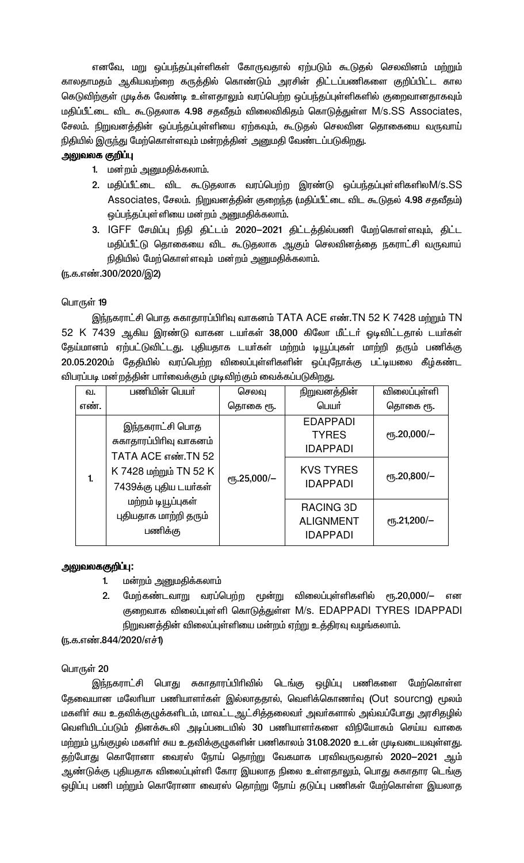எனவே, மறு ஒப்பந்தப்புள்ளிகள் கோருவதால் ஏற்படும் கூடுதல் செலவினம் மற்றும் காலதாமதம் ஆகியவற்றை கருத்தில் கொண்டும் அரசின் திட்டப்பணிகளை குறிப்பிட்ட கால கெடுவிற்குள் முடிக்க வேண்டி உள்ளதாலும் வரப்பெற்ற ஒப்பந்தப்புள்ளிகளில் குறைவானதாகவும் மதிப்பீட்டை விட கூடுதலாக 4.98 சதவீதம் விலைவிகிதம் கொடுத்துள்ள M/s.SS Associates, சேலம். நிறுவனத்தின் ஒப்பந்தப்புள்ளியை ஏற்கவும், கூடுதல் செலவின தொகையை வருவாய் நிதியில் இருந்து மேற்கொள்ளவும் மன்றத்தின் அனுமதி வேண்டப்படுகிறது.

### அலுவலக குறிப்பு

- 1. மன்றம் அனுமதிக்கலாம்.
- 2. மதிப்பீட்டை விட கூடுதலாக வரப்பெற்ற இரண்டு ஒப்பந்தப்புள்ளிகளிலM/s.SS Associates, சேலம். நிறுவனத்தின் குறைந்த (மதிப்பீட்டை விட கூடுதல் 4.98 சதவீதம்) ஒப்பந்தப்புள்ளியை மன்றம் அனுமதிக்கலாம்.
- 3. IGFF சேமிப்பு நிதி திட்டம் 2020-2021 திட்டத்தில்பணி மேற்கொள்ளவும், திட்ட மதிப்பீட்டு தொகையை விட கூடுதலாக ஆகும் செலவினத்தை நகராட்சி வருவாய் நிதியில் மேற்கொள்ளவும் மன்றம் அனுமதிக்கலாம்.

(ந.க.எண்.300/2020/இ2)

### பொருள்  $19$

இந்நகராட்சி பொத சுகாதாரப்பிரிவு வாகனம் TATA ACE எண்.TN 52 K 7428 மற்றும் TN 52 K 7439 ஆகிய இரண்டு வாகன டயர்கள் 38,000 கிலோ மீட்டர் ஓடிவிட்டதால் டயர்கள் தேய்மானம் ஏற்பட்டுவிட்டது. புதியதாக டயர்கள் மற்றம் டியூப்புகள் மாற்றி தரும் பணிக்கு 20.05.2020ம் தேதியில் வரப்பெற்ற விலைப்புள்ளிகளின் ஒப்புநோக்கு பட்டியலை கீழ்கண்ட விபரப்படி மன்றத்தின் பாா்வைக்கும் முடிவிற்கும் வைக்கப்படுகிறது.

| வ.   | பணியின் பெயர்                                                                                                       | செலவு       | நிறுவனத்தின்                                                                              | விலைப்புள்ளி                               |
|------|---------------------------------------------------------------------------------------------------------------------|-------------|-------------------------------------------------------------------------------------------|--------------------------------------------|
| எண். |                                                                                                                     | தொகை ரூ.    | பெயர்                                                                                     | தொகை ரூ.                                   |
| 1.   | இந்நகராட்சி பொத<br>சுகாதாரப்பிரிவு வாகனம்<br>TATA ACE எண்.TN 52<br>K 7428 மற்றும் TN 52 K<br>7439க்கு புதிய டயர்கள் | еҧ.25,000/- | <b>EDAPPADI</b><br><b>TYRES</b><br><b>IDAPPADI</b><br><b>KVS TYRES</b><br><b>IDAPPADI</b> | $\rm e$ гђ.20,000/-<br>$\rm (F, 20, 800/-$ |
|      | மற்றம் டியூப்புகள்<br>புதியதாக மாற்றி தரும்<br>பணிக்கு                                                              |             | RACING 3D<br><b>ALIGNMENT</b><br><b>IDAPPADI</b>                                          | $\rm eVb.21,200/-$                         |

### அலுவலககுறி**ப்**பு:

- 1. மன்றம் அனுமதிக்கலாம்
- 2. மேற்கண்டவாறு வரப்பெற்ற மூன்று விலைப்புள்ளிகளில் ரூ.20,000/– என குறைவாக விலைப்புள்ளி கொடுத்துள்ள M/s. EDAPPADI TYRES IDAPPADI நிறுவனத்தின் விலைப்புள்ளியை மன்றம் ஏற்று உத்திரவு வழங்கலாம்.

### (ந.க.எண்.844/2020/எச்1)

### பொருள் $20$

இந்நகராட்சி பொது சுகாதாரப்பிரிவில் டெங்கு ஒழிப்பு பணிகளை மேற்கொள்ள தேவையான மலேரியா பணியாளா்கள் இல்லாததால், வெளிக்கொணா்வு (Out sourcng) மூலம் மகளிா் சுய உதவிக்குழுக்களிடம், மாவட்டஆட்சித்தலைவா் அவா்களால் அவ்வப்போது அரசிதழில் வெளியிடப்படும் தினக்கூலி அடிப்படையில் 30 பணியாளர்களை விநியோகம் செய்ய வாகை மற்றும் பூங்குழல் மகளிா் சுய உதவிக்குழுகளின் பணிகாலம் 31.08.2020 உடன் முடிவடையவுள்ளது. தற்போது கொரோனா வைரஸ் நோய் தொற்று வேகமாக பரவிவருவதால் 2020 $-$ 2021 ஆம் ஆண்டுக்கு புதியதாக விலைப்புள்ளி கோர இயலாத நிலை உள்ளதாலும், பொது சுகாதார டெங்கு ஒழிப்பு பணி மற்றும் கொரோனா வைரஸ் தொற்று நோய் தடுப்பு பணிகள் மேற்கொள்ள இயலாத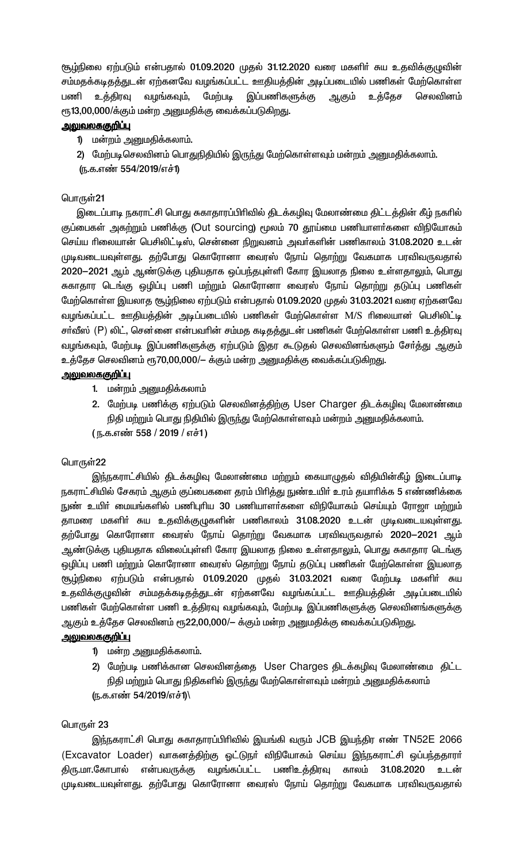சூழ்நிலை ஏற்படும் என்பதால் 01.09.2020 முதல் 31.12.2020 வரை மகளிா் சுய உதவிக்குழுவின் சம்மதக்கடிதத்துடன் ஏற்கனவே வழங்கப்பட்ட ஊதியத்தின் அடிப்படையில் பணிகள் மேற்கொள்ள வழங்கவும், மேற்படி இப்பணிகளுக்கு ஆகும் உத்தேச பணி உத்திரவு செலவினம் ரூ13,00,000/க்கும் மன்ற அனுமதிக்கு வைக்கப்படுகிறது.

### <u>அலுவலகஞறிப்பு</u>

1) மன்றம் அனுமதிக்கலாம்.

2) மேற்படிசெலவினம் பொதுநிதியில் இருந்து மேற்கொள்ளவும் மன்றம் அனுமதிக்கலாம்.

(ந.க.எண் 554/2019/எச்1)

# பொருள்21

இடைப்பாடி நகராட்சி பொது சுகாதாரப்பிரிவில் திடக்கழிவு மேலாண்மை திட்டத்தின் கீழ் நகரில் குப்பைகள் அகற்றும் பணிக்கு (Out sourcing) மூலம் 70 தூய்மை பணியாளர்களை விநியோகம் செய்ய ரிலையான் பெசிலிட்டிஸ், சென்னை நிறுவனம் அவர்களின் பணிகாலம் 31.08.2020 உடன் முடிவடையவுள்ளது. தற்போது கொரோனா வைரஸ் நோய் தொற்று வேகமாக பரவிவருவதால் 2020—2021 ஆம் ஆண்டுக்கு புதியதாக ஒப்பந்தபுள்ளி கோர இயலாத நிலை உள்ளதாலும், பொது சுகாதார டெங்கு ஒழிப்பு பணி மற்றும் கொரோனா வைரஸ் நோய் தொற்று தடுப்பு பணிகள் மேற்கொள்ள இயலாத சூழ்நிலை ஏற்படும் என்பதால் 01.09.2020 முதல் 31.03.2021 வரை ஏற்கனவே வழங்கப்பட்ட ஊதியத்தின் அடிப்படையில் பணிகள் மேற்கொள்ள M/S ரிலையான் பெசிலிட்டி சர்வீஸ் (P) லிட், சென்னை என்பவரின் சம்மத கடிதத்துடன் பணிகள் மேற்கொள்ள பணி உத்திரவு வழங்கவும், மேற்படி இப்பணிகளுக்கு ஏற்படும் இதர கூடுதல் செலவினங்களும் சேர்த்து ஆகும் உத்தேச செலவினம் ரூ70,00,000/— க்கும் மன்ற அனுமதிக்கு வைக்கப்படுகிறது.

# <u>அலுவலககுறிப்பு</u>

- 1. மன்றம் அனுமதிக்கலாம்
- 2. மேற்படி பணிக்கு ஏற்படும் செலவினத்திற்கு User Charger திடக்கழிவு மேலாண்மை நிதி மற்றும் பொது நிதியில் இருந்து மேற்கொள்ளவும் மன்றம் அனுமதிக்கலாம். (ந.க.எண் 558 / 2019 / எச்1)

# பொருள்22

இந்நகராட்சியில் திடக்கழிவு மேலாண்மை மற்றும் கையாழுதல் விதியின்கீழ் இடைப்பாடி நகராட்சியில் சேகரம் ஆகும் குப்பைகளை தரம் பிரித்து நுண்உயிர் உரம் தயாரிக்க 5 எண்ணிக்கை நுண் உயிா் மையங்களில் பணிபுரிய 30 பணியாளா்களை விநியோகம் செய்யும் ரோஜா மற்றும் தாமரை மகளிர் சுய உதவிக்குழுகளின் பணிகாலம் 31.08.2020 உடன் முடிவடையவுள்ளது. தற்போது கொரோனா வைரஸ் நோய் தொற்று வேகமாக பரவிவருவதால் 2020—2021 ஆம் ஆண்டுக்கு புதியதாக விலைப்புள்ளி கோர இயலாத நிலை உள்ளதாலும், பொது சுகாதார டெங்கு ஒழிப்பு பணி மற்றும் கொரோனா வைரஸ் தொற்று நோய் தடுப்பு பணிகள் மேற்கொள்ள இயலாத சூழ்நிலை ஏற்படும் என்பதால் 01.09.2020 முதல் 31.03.2021 வரை மேற்படி மகளிர் சுய உதவிக்குழுவின் சம்மதக்கடிதத்துடன் ஏற்கனவே வழங்கப்பட்ட ஊதியத்தின் அடிப்படையில் பணிகள் மேற்கொள்ள பணி உத்திரவு வழங்கவும், மேற்படி இப்பணிகளுக்கு செலவினங்களுக்கு ஆகும் உத்தேச செலவினம் ரூ22,00,000/— க்கும் மன்ற அனுமதிக்கு வைக்கப்படுகிறது.

### <u>அலுவலககுறிப்பு</u>

- 1) மன்ற அனுமதிக்கலாம்.
- 2) மேற்படி பணிக்கான செலவினத்தை User Charges திடக்கழிவு மேலாண்மை திட்ட நிதி மற்றும் பொது நிதிகளில் இருந்து மேற்கொள்ளவும் மன்றம் அனுமதிக்கலாம் (ந.க.எண் 54/2019/எச்1)

### பொருள் 23

இந்நகராட்சி பொது சுகாதாரப்பிரிவில் இயங்கி வரும் JCB இயந்திர எண் TN52E 2066 (Excavator Loader) வாகனத்திற்கு ஒட்டுநா் விநியோகம் செய்ய இந்நகராட்சி ஒப்பந்ததாரா் 31.08.2020 உடன் திரு.மா.கோபால் என்பவருக்கு வழங்கப்பட்ட பணிஉத்திரவு காலம் முடிவடையவுள்ளது. தற்போது கொரோனா வைரஸ் நோய் தொற்று வேகமாக பரவிவருவதால்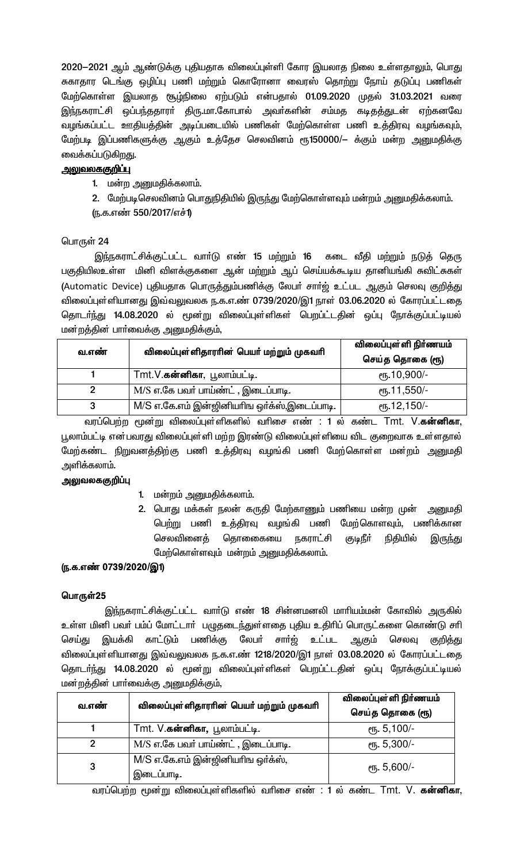2020-2021 ஆம் ஆண்டுக்கு புதியதாக விலைப்புள்ளி கோர இயலாத நிலை உள்ளதாலும், பொது சுகாதார டெங்கு ஒழிப்பு பணி மற்றும் கொரோனா வைரஸ் தொற்று நோய் தடுப்பு பணிகள் மேற்கொள்ள இயலாத சூழ்நிலை ஏற்படும் என்பதால் 01.09.2020 முதல் 31.03.2021 வரை இந்நகராட்சி ஒப்பந்ததாரா் திரு.மா.கோபால் அவா்களின் சம்மத கடிதத்துடன் ஏற்கனவே வழங்கப்பட்ட ஊதியத்தின் அடிப்படையில் பணிகள் மேற்கொள்ள பணி உத்திரவு வழங்கவும், மேற்படி இப்பணிகளுக்கு ஆகும் உத்தேச செலவினம் ரூ150000/— க்கும் மன்ற அனுமதிக்கு வைக்கப்படுகிறது.

# <u>அலுவலககுறிப்பு</u>

1. மன்ற அனுமதிக்கலாம்.

2. மேற்படிசெலவினம் பொதுநிதியில் இருந்து மேற்கொள்ளவும் மன்றம் அனுமதிக்கலாம்.

(ந.க.எண் 550/2017/எச்1)

# பொருள் 24

இந்நகராட்சிக்குட்பட்ட வாா்டு எண் 15 மற்றும் 16 கடை வீதி மற்றும் நடுத் தெரு பகுதியிலஉள்ள மினி விளக்குகளை ஆன் மற்றும் ஆப் செய்யக்கூடிய தானியங்கி சுவிட்சுகள் (Automatic Device) புதியதாக பொருத்தும்பணிக்கு லேபா் சாா்ஜ் உட்பட ஆகும் செலவு குறித்து விலைப்புள்ளியானது இவ்வலுவலக ந.க.எ.ண் 0739/2020/இ1 நாள் 03.06.2020 ல் கோரப்பட்டதை தொடா்ந்து 14.08.2020 ல் மூன்று விலைப்புள்ளிகள் பெறப்ட்டதின் ஒப்பு நோக்குப்பட்டியல் மன்றத்தின் பாா்வைக்கு அனுமதிக்கும்,

| வ.எண் | விலைப்புள்ளிதாரரின் பெயர் மற்றும் முகவரி    | விலைப்புள்ளி நிர்ணயம்<br>செய்த தொகை (ரூ) |
|-------|---------------------------------------------|------------------------------------------|
|       | Tmt.V. <b>கன்னிகா</b> , பூலாம்பட்டி.        | $\epsilon$ пу. 10,900/-                  |
|       | M/S எ.கே பவர் பாய்ண்ட், இடைப்பாடி.          | $e$ гђ. 11,550/-                         |
| 3     | M/S எ.கே.எம் இன்ஜினியாிங ஒர்க்ஸ்,இடைப்பாடி. | $\epsilon$ пъ.12,150/-                   |

வரப்பெற்ற மூன்று விலைப்புள்ளிகளில் வரிசை எண் : 1 ல் கண்ட Tmt. V.**கன்னிகா**, பூலாம்பட்டி என்பவரது விலைப்புள்ளி மற்ற இரண்டு விலைப்புள்ளியை விட குறைவாக உள்ளதால் மேற்கண்ட நிறுவனத்திற்கு பணி உத்திரவு வழங்கி பணி மேற்கொள்ள மன்றம் அனுமதி அளிக்கலாம்.

### அலுவலககுறிப்பு

- 1. மன்றம் அனுமதிக்கலாம்.
- 2. பொது மக்கள் நலன் கருதி மேற்காணும் பணியை மன்ற முன் அனுமதி பெற்று பணி உத்திரவு வழங்கி பணி மேற்கொளவும், பணிக்கான செலவினைக் தொனைகயை நகராட்சி குடிநீா் நிதியில் இருந்து மேற்கொள்ளவும் மன்றம் அனுமதிக்கலாம்.

### (ந.க.எண் 0739/2020/இ1)

### பொருள்25

இந்நகராட்சிக்குட்பட்ட வாா்டு எண் 18 சின்னமனலி மாாியம்மன் கோவில் அருகில் உள்ள மினி பவர் பம்ப் மோட்டார் பழுதடைந்துள்ளதை புதிய உதிரிப் பொருட்களை கொண்டு சரி செய்து இயக்கி காட்டும் பணிக்கு லேபா் சாா்ஜ் உட்பட ஆகும் செலவு குறித்து விலைப்புள்ளியானது இவ்வலுவலக ந.க.எ.ண் 1218/2020/இ1 நாள் 03.08.2020 ல் கோரப்பட்டதை தொடா்ந்து 14.08.2020 ல் மூன்று விலைப்புள்ளிகள் பெறப்ட்டதின் ஒப்பு நோக்குப்பட்டியல் மன்றத்தின் பார்வைக்கு அனுமதிக்கும்,

| வ.எண் | விலைப்புள்ளிதாரரின் பெயர் மற்றும் முகவரி        | விலைப்புள்ளி நிர்ணயம்<br>செய்த தொகை (ரூ) |
|-------|-------------------------------------------------|------------------------------------------|
|       | Tmt. V.கன்னிகா, பூலாம்பட்டி.                    | $e$ п <sub>5</sub> . 5,100/-             |
| 2     | M/S எ.கே பவர் பாய்ண்ட், இடைப்பாடி.              | $e$ гђ. 5,300/-                          |
| 3     | M/S எ.கே.எம் இன்ஜினியரிங ஒர்க்ஸ்,<br>இடைப்பாடி. | <sub>0</sub> гг. 5,600/-                 |

வரப்பெற்ற மூன்று விலைப்புள்ளிகளில் வரிசை எண் : 1 ல் கண்ட Tmt. V. **கன்னிகா**,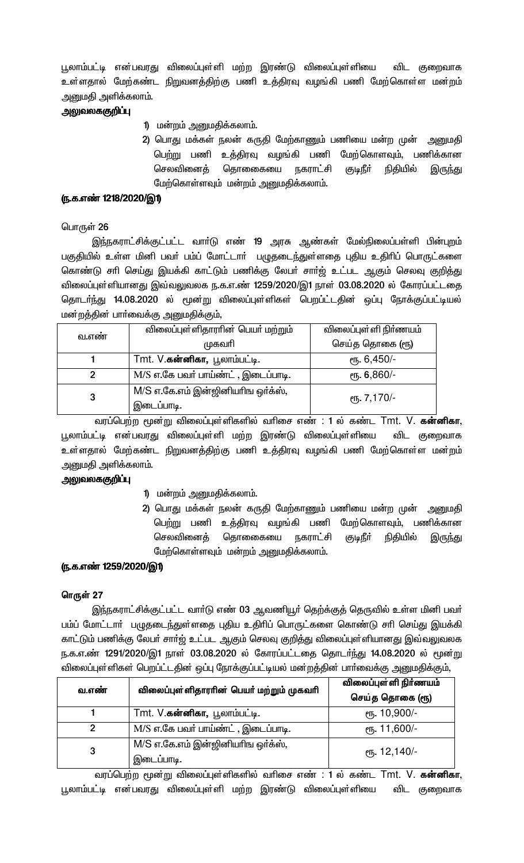பூலாம்பட்டி என்பவரது விலைப்புள்ளி மற்ற இரண்டு விலைப்புள்ளியை விட குறைவாக உள்ளதால் மேற்கண்ட நிறுவனத்திற்கு பணி உத்திரவு வழங்கி பணி மேற்கொள்ள மன்றம் அனுமதி அளிக்கலாம்.

## அலுவலககுறிப்பு

- 1) மன்றம் அனுமதிக்கலாம்.
- 2) பொது மக்கள் நலன் கருதி மேற்காணும் பணியை மன்ற முன் அனுமதி பெற்று பணி உத்திரவு வழங்கி பணி மேற்கொளவும், பணிக்கான தொணைகயை நகராட்சி செலவினைத் குடிநீா் நிதியில் இருந்து மேற்கொள்ளவும் மன்றம் அனுமதிக்கலாம்.

### <u>ரு.க.எண் 1218/2020/இ1)</u>

### பொருள் 26

இந்நகராட்சிக்குட்பட்ட வாா்டு எண் 19 அரசு ஆண்கள் மேல்நிலைப்பள்ளி பின்புறம் பகுதியில் உள்ள மினி பவர் பம்ப் மோட்டார் பழுதடைந்துள்ளதை புதிய உதிரிப் பொருட்களை கொண்டு சாி செய்து இயக்கி காட்டும் பணிக்கு லேபா் சாா்ஜ் உட்பட ஆகும் செலவு குறித்து விலைப்புள்ளியானது இவ்வலுவலக ந.க.எ.ண் 1259/2020/இ1 நாள் 03.08.2020 ல் கோரப்பட்டதை தொடா்ந்து 14.08.2020 ல் மூன்று விலைப்புள்ளிகள் பெறப்ட்டதின் ஒப்பு நோக்குப்பட்டியல் மன்றத்தின் பாா்வைக்கு அனுமதிக்கும்,

| வ.எண் | விலைப்புள்ளிதாராின் பெயா் மற்றும்    | விலைப்புள்ளி நிா்ணயம்   |
|-------|--------------------------------------|-------------------------|
|       | முகவரி                               | செய்த தொகை (ரூ)         |
|       | Tmt. V. <b>கன்னிகா,</b> பூலாம்பட்டி. | $e$ гђ. 6,450/-         |
| 2     | M/S எ.கே பவர் பாய்ண்ட், இடைப்பாடி.   | $e$ гђ. 6,860/-         |
| 3     | M/S எ.கே.எம் இன்ஜினியரிங ஒர்க்ஸ்,    | <sub>ሮ</sub> ҧ. 7,170/- |
|       | இடைப்பாடி.                           |                         |

வரப்பெற்ற மூன்று விலைப்புள்ளிகளில் வரிசை எண் : 1 ல் கண்ட Tmt. V. க**ன்னிகா**, பூலாம்பட்டி என்பவரது விலைப்புள்ளி மற்ற இரண்டு விலைப்புள்ளியை விட குறைவாக உள்ளதால் மேற்கண்ட நிறுவனத்திற்கு பணி உத்திரவு வழங்கி பணி மேற்கொள்ள மன்றம் அனுமதி அளிக்கலாம்.

### அலுவலககுறிப்பு

- 1) மன்றம் அனுமதிக்கலாம்.
- 2) பொது மக்கள் நலன் கருதி மேற்காணும் பணியை மன்ற முன் அனுமதி பெற்று பணி உத்திரவு வழங்கி பணி மேற்கொளவும், பணிக்கான செலவினைத் தொணைகயை நகராட்சி ருடிநீர் நிதியில் இருந்து மேற்கொள்ளவும் மன்றம் அனுமதிக்கலாம்.

# (ந.க.எண் 1259/2020/இ1)

### ொருள் 27

இந்நகராட்சிக்குட்பட்ட வார்டு எண் 03 ஆவணியூர் தெற்க்குத் தெருவில் உள்ள மினி பவர் பம்ப் மோட்டாா் பழுதடைந்துள்ளதை புதிய உதிாிப் பொருட்களை கொண்டு சாி செய்து இயக்கி காட்டும் பணிக்கு லேபர் சார்ஜ் உட்பட ஆகும் செலவு குறித்து விலைப்புள்ளியானது இவ்வலுவலக ந.க.எ.ண் 1291/2020/இ1 நாள் 03.08.2020 ல் கோரப்பட்டதை தொடர்ந்து 14.08.2020 ல் மூன்று விலைப்புள்ளிகள் பெறப்ட்டதின் ஒப்பு நோக்குப்பட்டியல் மன்றத்தின் பார்வைக்கு அனுமதிக்கும்,

| வ.எண்          | விலைப்புள்ளிதாரரின் பெயர் மற்றும் முகவரி        | விலைப்புள்ளி நிர்ணயம்<br>செய்த தொகை (ரூ) |
|----------------|-------------------------------------------------|------------------------------------------|
|                | Tmt. V.கன்னிகா, பூலாம்பட்டி.                    | еть. 10,900/-                            |
| $\overline{2}$ | M/S எ.கே பவர் பாய்ண்ட், இடைப்பாடி.              | $\epsilon$ пъ. 11,600/-                  |
| 3              | M/S எ.கே.எம் இன்ஜினியரிங ஒர்க்ஸ்,<br>இடைப்பாடி. | <sub>ሮ</sub> դ. 12,140/-                 |

வரப்பெற்ற மூன்று விலைப்புள்ளிகளில் வரிசை எண் : 1 ல் கண்ட Tmt. V. க**ன்னிகா**, பூலாம்பட்டி என்பவரது விலைப்புள்ளி மற்ற இரண்டு விலைப்புள்ளியை விட குறைவாக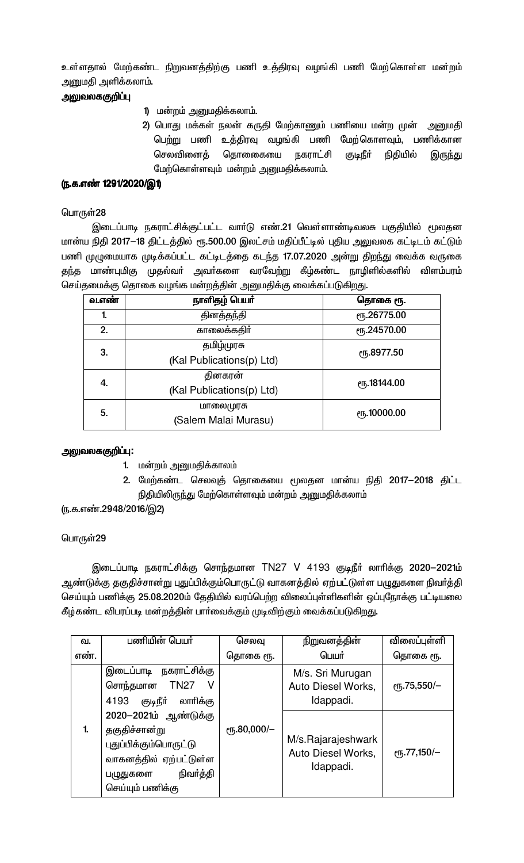உள்ளதால் மேற்கண்ட நிறுவனத்திற்கு பணி உத்திரவு வழங்கி பணி மேற்கொள்ள மன்றம் அனுமதி அளிக்கலாம்.

# அலுவலககுறிப்பு

- 1) மன்றம் அனுமதிக்கலாம்.
- 2) பொது மக்கள் நலன் கருதி மேற்காணும் பணியை மன்ற முன் அனுமதி பெற்று பணி உத்திரவு வழங்கி பணி மேற்கொளவும், பணிக்கான நகராட்சி செலவினைத் தொனைகயை குடிநீ**ர்** நிதியில் இருந்து மேற்கொள்ளவும் மன்றம் அனுமதிக்கலாம்.

# ரு.க.எண் 1291/2020/இ1)

### பொருள்28

இடைப்பாடி நகராட்சிக்குட்பட்ட வார்டு எண்.21 வெள்ளாண்டிவலசு பகுதியில் மூலதன மான்ய நிதி 2017-18 திட்டத்தில் ரூ.500.00 இலட்சம் மதிப்பீட்டில் புதிய அலுவலக கட்டிடம் கட்டும் பணி முழுமையாக முடிக்கப்பட்ட கட்டிடத்தை கடந்த 17.07.2020 அன்று திறந்து வைக்க வருகை தந்த மாண்புமிகு முதல்வா் அவா்களை வரவேற்று கீழ்கண்ட நாழிளில்களில் விளம்பரம் செய்தமைக்கு தொகை வழங்க மன்றத்தின் அனுமதிக்கு வைக்கப்படுகிறது.

| வ.எண் | நாளிதழ் பெயர்             | தொகை ரூ.                 |
|-------|---------------------------|--------------------------|
| 1.    | தினத்தந்தி                | ரு.26775.00              |
| 2.    | காலைக்கதிர்               | ரு.24570.00              |
| 3.    | தமிழ்முரசு                | ரு.8977.50               |
|       | (Kal Publications(p) Ltd) |                          |
| 4.    | தினகரன்                   | ը <sub>5</sub> .18144.00 |
|       | (Kal Publications(p) Ltd) |                          |
| 5.    | மாலைமுரசு                 | <b>е</b> ҧ.10000.00      |
|       | (Salem Malai Murasu)      |                          |

### அலுவலககுறிப்பு:

- 1. மன்றம் அனுமதிக்காலம்
- 2. மேற்கண்ட செலவுத் தொகையை மூலதன மான்ய நிதி 2017-2018 திட்ட நிதியிலிருந்து மேற்கொள்ளவும் மன்றம் அனுமதிக்கலாம்

<u>(ந</u>.க.எண்.2948/2016/இ2)

### பொருள்29

இடைப்பாடி நகராட்சிக்கு சொந்தமான TN27 V 4193 குடிநீா் லாாிக்கு 2020–2021ம் ஆண்டுக்கு தகுதிச்சான்று புதுப்பிக்கும்பொருட்டு வாகனத்தில் ஏற்பட்டுள்ள பழுதுகளை நிவர்த்தி செய்யும் பணிக்கு 25.08.2020ம் தேதியில் வரப்பெற்ற விலைப்புள்ளிகளின் ஒப்புநோக்கு பட்டியலை கீழ்கண்ட விபரப்படி மன்றத்தின் பார்வைக்கும் முடிவிற்கும் வைக்கப்படுகிறது.

| வ.   | பணியின் பெயர்                                                                                                                           | செலவு       | நிறுவனத்தின்                                          | விலைப்புள்ளி                                |
|------|-----------------------------------------------------------------------------------------------------------------------------------------|-------------|-------------------------------------------------------|---------------------------------------------|
| எண். |                                                                                                                                         | தொகை ரூ.    | பெயர்                                                 | தொகை ரூ.                                    |
|      | இடைப்பாடி நகராட்சிக்கு<br>சொந்தமான TN27<br>குடிநீா்<br>4193<br>லாரிக்கு                                                                 |             | M/s. Sri Murugan<br>Auto Diesel Works,<br>Idappadi.   | $\rm e$ гђ.75,550/-                         |
| 1.   | 2020-2021ம் ஆண்டுக்கு<br>தகுதிச்சான்று<br>புதுப்பிக்கும்பொருட்டு<br>வாகனத்தில் ஏற்பட்டுள்ள<br>நிவா்த்தி<br>பழுதுகளை<br>செய்யும் பணிக்கு | ரூ.80,000/- | M/s.Rajarajeshwark<br>Auto Diesel Works,<br>Idappadi. | $\rm e$ <sup>T</sup> <sub>0</sub> .77,150/- |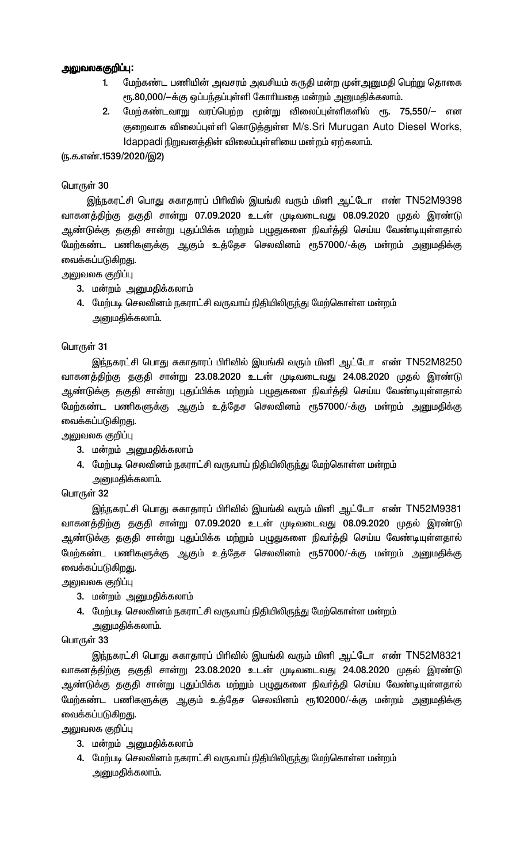### அலுவலககுறிப்பு:

- மேற்கண்ட பணியின் அவசரம் அவசியம் கருதி மன்ற முன்அனுமதி பெற்று தொகை 1. ரூ.80,000/-க்கு ஒப்பந்தப்புள்ளி கோரியதை மன்றம் அனுமதிக்கலாம்.
- மேற்கண்டவாறு வரப்பெற்ற மூன்று விலைப்புள்ளிகளில் ரூ. 75,550/— என  $2.$ குறைவாக விலைப்புள்ளி கொடுத்துள்ள M/s.Sri Murugan Auto Diesel Works, Idappadi நிறுவனத்தின் விலைப்புள்ளியை மன்றம் ஏற்கலாம்.

(ந.க.எண்.1539/2020/இ2)

### பொருள் 30

இந்நகரட்சி பொது சுகாதாரப் பிரிவில் இயங்கி வரும் மினி ஆட்டோ எண் TN52M9398 வாகனத்திற்கு தகுதி சான்று 07.09.2020 உடன் முடிவடைவது 08.09.2020 முதல் இரண்டு ஆண்டுக்கு தகுதி சான்று புதுப்பிக்க மற்றும் பழுதுகளை நிவர்த்தி செய்ய வேண்டியுள்ளதால் மேற்கண்ட பணிகளுக்கு ஆகும் உத்தேச செலவினம் ரூ57000/-க்கு மன்றம் அனுமதிக்கு வைக்கப்படுகிறது.

அலுவலக குறிப்பு

- 3. மன்றம் அனுமதிக்கலாம்
- 4. மேற்படி செலவினம் நகராட்சி வருவாய் நிதியிலிருந்து மேற்கொள்ள மன்றம் அனுமதிக்கலாம்.

### பொருள் 31

இந்நகரட்சி பொது சுகாதாரப் பிரிவில் இயங்கி வரும் மினி ஆட்டோ எண் TN52M8250 வாகனத்திற்கு தகுதி சான்று 23.08.2020 உடன் முடிவடைவது 24.08.2020 முதல் இரண்டு ஆண்டுக்கு தகுதி சான்று புதுப்பிக்க மற்றும் பழுதுகளை நிவா்த்தி செய்ய வேண்டியுள்ளதால் மேற்கண்ட பணிகளுக்கு ஆகும் உத்தேச செலவினம் ரூ57000/-க்கு மன்றம் அனுமதிக்கு வைக்கப்படுகிறது.

அலுவலக குறிப்பு

- 3. மன்றம் அனுமதிக்கலாம்
- 4. மேற்படி செலவினம் நகராட்சி வருவாய் நிதியிலிருந்து மேற்கொள்ள மன்றம் அனுமதிக்கலாம்.

### பொருள் 32

<u>இந்ந</u>கரட்சி பொது சுகாதாரப் பிரிவில் இயங்கி வரும் மினி ஆட்டோ எண் TN52M9381 வாகனத்திற்கு தகுதி சான்று 07.09.2020 உடன் முடிவடைவது 08.09.2020 முதல் இரண்டு ஆண்டுக்கு தகுதி சான்று புதுப்பிக்க மற்றும் பழுதுகளை நிவா்த்தி செய்ய வேண்டியுள்ளதால் மேற்கண்ட பணிகளுக்கு ஆகும் உத்தேச செலவினம் ரூ57000/-க்கு மன்றம் அனுமதிக்கு வைக்கப்படுகிறது.

அலுவலக குறிப்பு

- 3. மன்றம் அனுமதிக்கலாம்
- 4. மேற்படி செலவினம் நகராட்சி வருவாய் நிதியிலிருந்து மேற்கொள்ள மன்றம்

அனுமதிக்கலாம்.

பொருள் 33

இந்நகரட்சி பொது சுகாதாரப் பிரிவில் இயங்கி வரும் மினி ஆட்டோ எண் TN52M8321 வாகனத்திற்கு தகுதி சான்று 23.08.2020 உடன் முடிவடைவது 24.08.2020 முதல் இரண்டு ஆண்டுக்கு தகுதி சான்று புதுப்பிக்க மற்றும் பழுதுகளை நிவா்த்தி செய்ய வேண்டியுள்ளதால் மேற்கண்ட பணிகளுக்கு ஆகும் உத்தேச செலவினம் ரூ102000/-க்கு மன்றம் அனுமதிக்கு வைக்கப்படுகிறது.

அலுவலக குறிப்பு

- 3. மன்றம் அனுமதிக்கலாம்
- 4. மேற்படி செலவினம் நகராட்சி வருவாய் நிதியிலிருந்து மேற்கொள்ள மன்றம் அனுமதிக்கலாம்.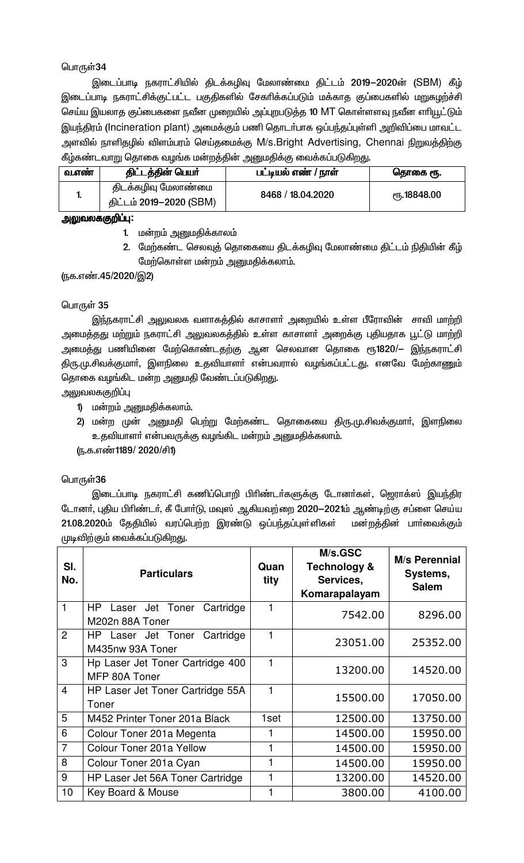இடைப்பாடி நகராட்சியில் திடக்கழிவு மேலாண்மை திட்டம் 2019–2020ன் (SBM) கீழ் இடைப்பாடி நகராட்சிக்குட்பட்ட பகுதிகளில் சேகாிக்கப்படும் மக்காத குப்பைகளில் மறுசுழற்ச்சி செய்ய இயலாத குப்பைகளை நவீன முறையில் அப்புறபடுத்த 10 MT கொள்ளளவு நவீன எரியூட்டும் இயந்திரம் (Incineration plant) அமைக்கும் பணி தொடர்பாக ஒப்பந்தப்புள்ளி அறிவிப்பை மாவட்ட அளவில் நாளிதழில் விளம்பரம் செய்தமைக்கு M/s.Bright Advertising, Chennai நிறுவத்திற்கு கீழ்கண்டவாறு தொகை வழங்க மன்றத்தின் அனுமதிக்கு வைக்கப்படுகிறது.

| திடக்கழிவு மேலாண்மை<br>8468 / 18.04.2020<br><sub>(</sub> դ.18848.00<br>ш.<br>திட்டம் 2019–2020 (SBM) | வ.எண் | திட்டத்தின் பெயர் | பட்டியல் எண் / நாள் | தொகை ரூ. |
|------------------------------------------------------------------------------------------------------|-------|-------------------|---------------------|----------|
|                                                                                                      |       |                   |                     |          |

### அலுவலககுறிப்பு:

- 1. மன்றம் அனுமதிக்காலம்
- 2. மேற்கண்ட செலவுத் தொகையை திடக்கழிவு மேலாண்மை திட்டம் நிதியின் கீழ் மேற்கொள்ள மன்றம் அனுமதிக்கலாம்.

# (நக.எண்.45/2020/இ2)

### பொருள் 35

இந்நகராட்சி அலுவலக வளாகத்தில் காசாளா் அறையில் உள்ள பீரோவின் சாவி மாற்றி அமைத்தது மற்றும் நகராட்சி அலுவலகத்தில் உள்ள காசாளா் அறைக்கு புதியதாக பூட்டு மாற்றி அமைத்து பணியினை மேற்கொண்டதற்கு ஆன செலவான தொகை ரூ1820/— இந்நகராட்சி திரு.மு.சிவக்குமாா், இளநிலை உதவியாளா் என்பவரால் வழங்கப்பட்டது. எனவே மேற்காணும் தொகை வழங்கிட மன்ற அனுமதி வேண்டப்படுகிறது.

அலுவலககுறிப்பு

- 1) மன்றம் அனுமதிக்கலாம்.
- 2) மன்ற முன் அனுமதி பெற்று மேற்கண்ட தொகையை திரு.மு.சிவக்குமாா், இளநிலை உதவியாளா் என்பவருக்கு வழங்கிட மன்றம் அனுமதிக்கலாம்.

(ந.க.எண்1189/ 2020/சி1)

### பொருள்36

இடைப்பாடி நகராட்சி கணிப்பொறி பிரிண்டா்களுக்கு டோனா்கள், ஜெராக்ஸ் இயந்திர டோனா், புதிய பிாிண்டா், கீ போா்டு, மவுஸ் ஆகியவற்றை 2020—2021ம் ஆண்டிற்கு சப்ளை செய்ய 21.08.2020ம் தேதியில் வரப்பெற்ற இரண்டு ஒப்பந்தப்புள்ளிகள் மன்றத்தின் பாா்வைக்கும் முடிவிற்கும் வைக்கப்படுகிறது.

| SI.<br>No.     | <b>Particulars</b>                                    | Quan<br>tity | M/s.GSC<br><b>Technology &amp;</b><br>Services,<br>Komarapalayam | <b>M/s Perennial</b><br>Systems,<br><b>Salem</b> |
|----------------|-------------------------------------------------------|--------------|------------------------------------------------------------------|--------------------------------------------------|
| 1              | HP<br>Laser Jet Toner<br>Cartridge<br>M202n 88A Toner |              | 7542.00                                                          | 8296.00                                          |
| 2              | Cartridge<br>HP Laser Jet Toner<br>M435nw 93A Toner   |              | 23051.00                                                         | 25352.00                                         |
| 3              | Hp Laser Jet Toner Cartridge 400<br>MFP 80A Toner     | 1            | 13200.00                                                         | 14520.00                                         |
| $\overline{4}$ | HP Laser Jet Toner Cartridge 55A<br>Toner             | 1            | 15500.00                                                         | 17050.00                                         |
| 5              | M452 Printer Toner 201a Black                         | 1set         | 12500.00                                                         | 13750.00                                         |
| 6              | Colour Toner 201a Megenta                             |              | 14500.00                                                         | 15950.00                                         |
| $\overline{7}$ | Colour Toner 201a Yellow                              | 1            | 14500.00                                                         | 15950.00                                         |
| 8              | Colour Toner 201a Cyan                                |              | 14500.00                                                         | 15950.00                                         |
| 9              | HP Laser Jet 56A Toner Cartridge                      |              | 13200.00                                                         | 14520.00                                         |
| 10             | Key Board & Mouse                                     |              | 3800.00                                                          | 4100.00                                          |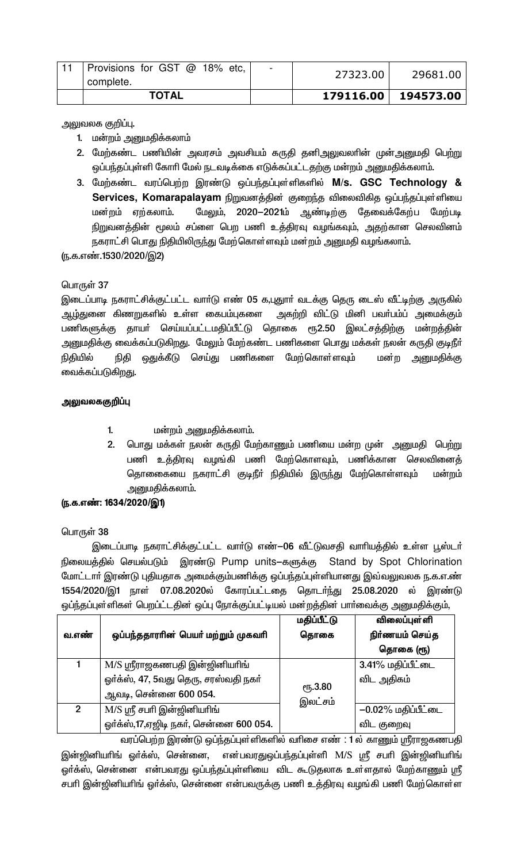| complete.<br><b>TOTAL</b>     |                              | 179116.00 | 194573.00 |
|-------------------------------|------------------------------|-----------|-----------|
| Provisions for GST @ 18% etc, | $\qquad \qquad \blacksquare$ | 27323.00  | 29681.00  |

அலுவலக குறிப்பு.

- 1. மன்றம் அனுமதிக்கலாம்
- 2. மேற்கண்ட பணியின் அவரசம் அவசியம் கருதி தனிஅலுவலாின் முன்அனுமதி பெற்று ஒப்பந்தப்புள்ளி கோரி மேல் நடவடிக்கை எடுக்கப்பட்டதற்கு மன்றம் அனுமதிக்கலாம்.
- 3. மேற்கண்ட வரப்பெற்ற இரண்டு ஒப்பந்தப்புள்ளிகளில் M/s. GSC Technology & Services, Komarapalayam நிறுவனத்தின் குறைந்த விலைவிகித ஒப்பந்தப்புள்ளியை மன்றம் ஏற்கலாம். மேலும், 2020-2021ம் ஆண்டிற்கு தேவைக்கேற்ப மேற்படி நிறுவனத்தின் மூலம் சப்ளை பெற பணி உத்திரவு வழங்கவும், அதற்கான செலவினம் நகராட்சி பொது நிதியிலிருந்து மேற்கொள்ளவும் மன்றம் அனுமதி வழங்கலாம்.

(ந.க.எண்.1530/2020/இ2)

# பொருள் 37

இடைப்பாடி நகராட்சிக்குட்பட்ட வாா்டு எண் 05 க,புதுாா் வடக்கு தெரு டைஸ் வீட்டிற்கு அருகில் ஆழ்துனை கிணறுகளில் உள்ள கைபம்புகளை அகற்றி விட்டு மினி பவா்பம்ப் அமைக்கும் பணிகளுக்கு தாயா் செய்யப்பட்டமதிப்பீட்டு தொகை ரூ2.50 இலட்சத்திற்கு மன்றத்தின் அனுமதிக்கு வைக்கப்படுகிறது. மேலும் மேற்கண்ட பணிகளை பொது மக்கள் நலன் கருதி குடிநீா் நிதியில் நிதி ஒதுக்கீடு செய்து பணிகளை மேற்கொள்ளவும் மன்ற அனுமதிக்கு வைக்கப்படுகிறது.

### அலுவலககுறிப்பு

- $\mathbf{1}$ மன்றம் அனுமதிக்கலாம்.
- 2. பொது மக்கள் நலன் கருதி மேற்காணும் பணியை மன்ற முன் அனுமதி பெற்று பணி உத்திரவு வழங்கி பணி மேற்கொளவும், பணிக்கான செலவினைத் தொணைகயை நகராட்சி குடிநீா் நிதியில் இருந்து மேற்கொள்ளவும் மன்றம் அனுமதிக்கலாம்.

### (ந.க.எண்: 1634/2020/இ1)

# பொருள் 38

இடைப்பாடி நகராட்சிக்குட்பட்ட வார்டு எண்-06 வீட்டுவசதி வாரியத்தில் உள்ள பூஸ்டர் நிலையத்தில் செயல்படும் இரண்டு Pump units–களுக்கு Stand by Spot Chlorination மோட்டாா் இரண்டு புதியதாக அமைக்கும்பணிக்கு ஒப்பந்தப்புள்ளியானது இவ்வலுவலக ந.க.எ.ண் 1554/2020/இ1 நாள் 07.08.2020ல் கோரப்பட்டதை தொடர்ந்து 25.08.2020 ல் இரண்டு ஒப்ந்தப்புள்ளிகள் பெறப்ட்டதின் ஒப்பு நோக்குப்பட்டியல் மன்றத்தின் பார்வைக்கு அனுமதிக்கும்,

|               |                                        | மதிப்பீட்டு                | விலைப்புள் ளி      |
|---------------|----------------------------------------|----------------------------|--------------------|
| வ.எண்         | ஒப்பந்ததாரரின் பெயர் மற்றும் முகவரி    | தொகை                       | நிர்ணயம் செய்த     |
|               |                                        |                            | தொகை (ரூ)          |
|               | M/S ஸ்ரீராஜகணபதி இன்ஜினியரிங்          |                            | 3.41% மதிப்பீட்டை  |
|               | ஓர்க்ஸ், 47, 5வது தெரு, சரஸ்வதி நகர்   |                            | விட அதிகம்         |
|               | ஆவடி, சென்னை 600 054.                  | <b>е</b> ђ.3.80<br>இலட்சம் |                    |
| $\mathcal{P}$ | $M/S$ ஸ்ரீ சபரி இன்ஜினியரிங்           |                            | –0.02% மதிப்பீட்டை |
|               | ஓர்க்ஸ்,17,ஏஜிடி நகர், சென்னை 600 054. |                            | விட குறைவு         |

வரப்பெற்ற இரண்டு ஒப்ந்தப்புள்ளிகளில் வரிசை எண் : 1 ல் காணும் ஸ்ரீராஜகணபதி இன்ஜினியாிங் ஓா்க்ஸ், சென்னை, என்பவரதுஒப்பந்தப்புள்ளி M/S ஸ்ரீ சபாி இன்ஜினியாிங் ஓர்க்ஸ், சென்னை என்பவரது ஒப்பந்தப்புள்ளியை விட கூடுதலாக உள்ளதால் மேற்காணும் ஸ்ரீ சபரி இன்ஜினியரிங் ஓர்க்ஸ், சென்னை என்பவருக்கு பணி உத்திரவு வழங்கி பணி மேற்கொள்ள